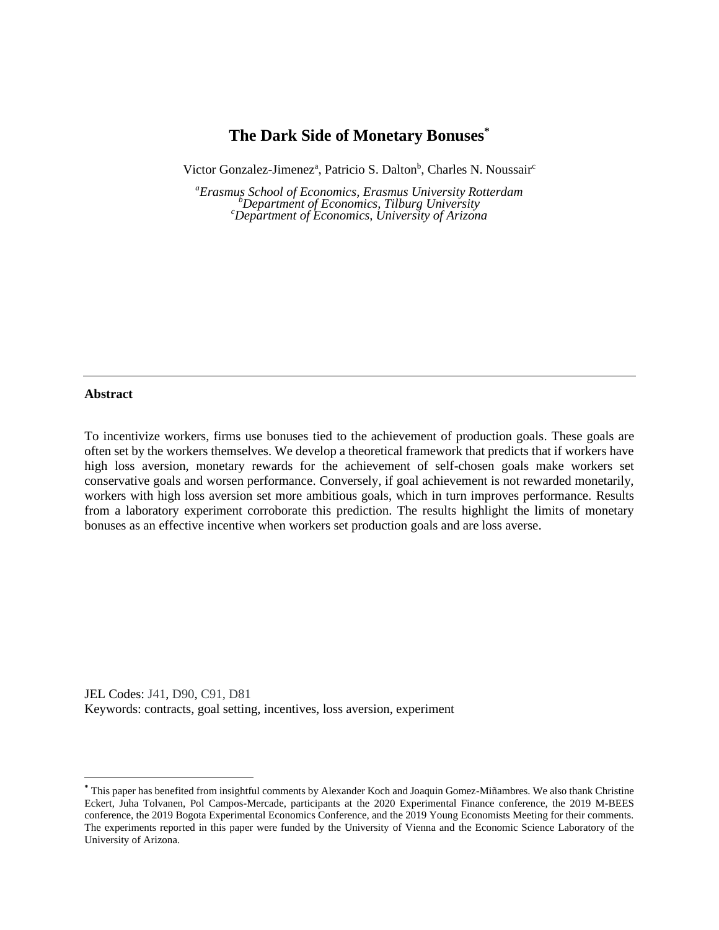# **The Dark Side of Monetary Bonuses\***

Victor Gonzalez-Jimenez<sup>a</sup>, Patricio S. Dalton<sup>b</sup>, Charles N. Noussair<sup>c</sup>

*<sup>a</sup>Erasmus School of Economics, Erasmus University Rotterdam <sup>b</sup>Department of Economics, Tilburg University <sup>c</sup>Department of Economics, University of Arizona*

### **Abstract**

To incentivize workers, firms use bonuses tied to the achievement of production goals. These goals are often set by the workers themselves. We develop a theoretical framework that predicts that if workers have high loss aversion, monetary rewards for the achievement of self-chosen goals make workers set conservative goals and worsen performance. Conversely, if goal achievement is not rewarded monetarily, workers with high loss aversion set more ambitious goals, which in turn improves performance. Results from a laboratory experiment corroborate this prediction. The results highlight the limits of monetary bonuses as an effective incentive when workers set production goals and are loss averse.

JEL Codes: J41, D90, C91, D81 Keywords: contracts, goal setting, incentives, loss aversion, experiment

**<sup>\*</sup>** This paper has benefited from insightful comments by Alexander Koch and Joaquin Gomez-Miñambres. We also thank Christine Eckert, Juha Tolvanen, Pol Campos-Mercade, participants at the 2020 Experimental Finance conference, the 2019 M-BEES conference, the 2019 Bogota Experimental Economics Conference, and the 2019 Young Economists Meeting for their comments. The experiments reported in this paper were funded by the University of Vienna and the Economic Science Laboratory of the University of Arizona.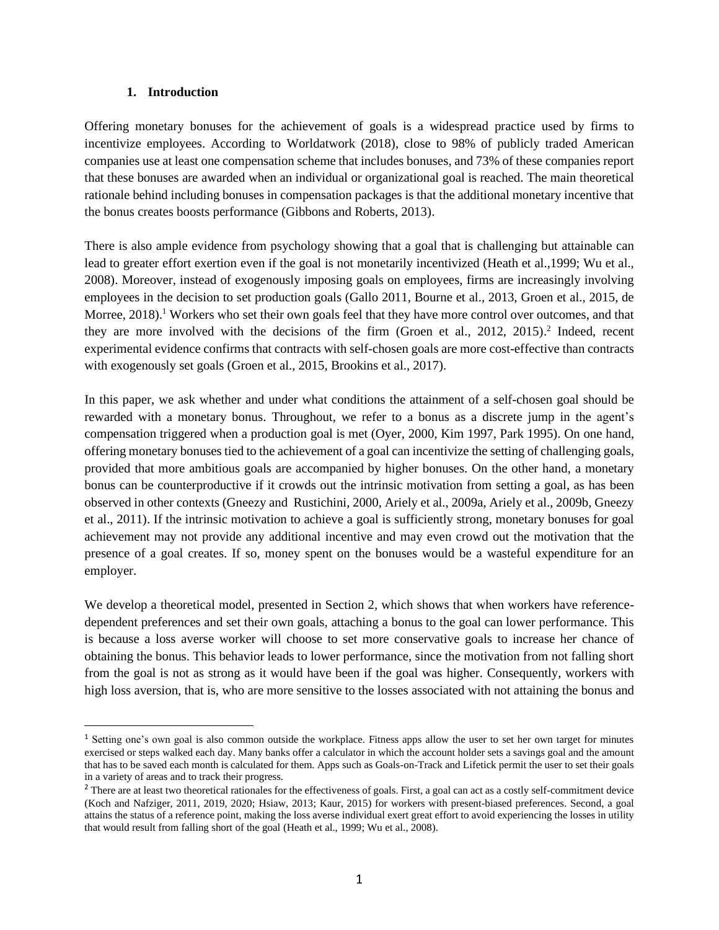### **1. Introduction**

Offering monetary bonuses for the achievement of goals is a widespread practice used by firms to incentivize employees. According to Worldatwork (2018), close to 98% of publicly traded American companies use at least one compensation scheme that includes bonuses, and 73% of these companies report that these bonuses are awarded when an individual or organizational goal is reached. The main theoretical rationale behind including bonuses in compensation packages is that the additional monetary incentive that the bonus creates boosts performance (Gibbons and Roberts, 2013).

There is also ample evidence from psychology showing that a goal that is challenging but attainable can lead to greater effort exertion even if the goal is not monetarily incentivized (Heath et al.,1999; Wu et al., 2008). Moreover, instead of exogenously imposing goals on employees, firms are increasingly involving employees in the decision to set production goals (Gallo 2011, Bourne et al., 2013, Groen et al., 2015, de Morree, 2018).<sup>1</sup> Workers who set their own goals feel that they have more control over outcomes, and that they are more involved with the decisions of the firm (Groen et al., 2012, 2015). 2 Indeed, recent experimental evidence confirms that contracts with self-chosen goals are more cost-effective than contracts with exogenously set goals (Groen et al., 2015, Brookins et al., 2017).

In this paper, we ask whether and under what conditions the attainment of a self-chosen goal should be rewarded with a monetary bonus. Throughout, we refer to a bonus as a discrete jump in the agent's compensation triggered when a production goal is met (Oyer, 2000, Kim 1997, Park 1995). On one hand, offering monetary bonuses tied to the achievement of a goal can incentivize the setting of challenging goals, provided that more ambitious goals are accompanied by higher bonuses. On the other hand, a monetary bonus can be counterproductive if it crowds out the intrinsic motivation from setting a goal, as has been observed in other contexts (Gneezy and Rustichini, 2000, Ariely et al., 2009a, Ariely et al., 2009b, Gneezy et al., 2011). If the intrinsic motivation to achieve a goal is sufficiently strong, monetary bonuses for goal achievement may not provide any additional incentive and may even crowd out the motivation that the presence of a goal creates. If so, money spent on the bonuses would be a wasteful expenditure for an employer.

We develop a theoretical model, presented in Section 2, which shows that when workers have referencedependent preferences and set their own goals, attaching a bonus to the goal can lower performance. This is because a loss averse worker will choose to set more conservative goals to increase her chance of obtaining the bonus. This behavior leads to lower performance, since the motivation from not falling short from the goal is not as strong as it would have been if the goal was higher. Consequently, workers with high loss aversion, that is, who are more sensitive to the losses associated with not attaining the bonus and

<sup>&</sup>lt;sup>1</sup> Setting one's own goal is also common outside the workplace. Fitness apps allow the user to set her own target for minutes exercised or steps walked each day. Many banks offer a calculator in which the account holder sets a savings goal and the amount that has to be saved each month is calculated for them. Apps such as Goals-on-Track and Lifetick permit the user to set their goals in a variety of areas and to track their progress.

<sup>&</sup>lt;sup>2</sup> There are at least two theoretical rationales for the effectiveness of goals. First, a goal can act as a costly self-commitment device (Koch and Nafziger, 2011, 2019, 2020; Hsiaw, 2013; Kaur, 2015) for workers with present-biased preferences. Second, a goal attains the status of a reference point, making the loss averse individual exert great effort to avoid experiencing the losses in utility that would result from falling short of the goal (Heath et al., 1999; Wu et al., 2008).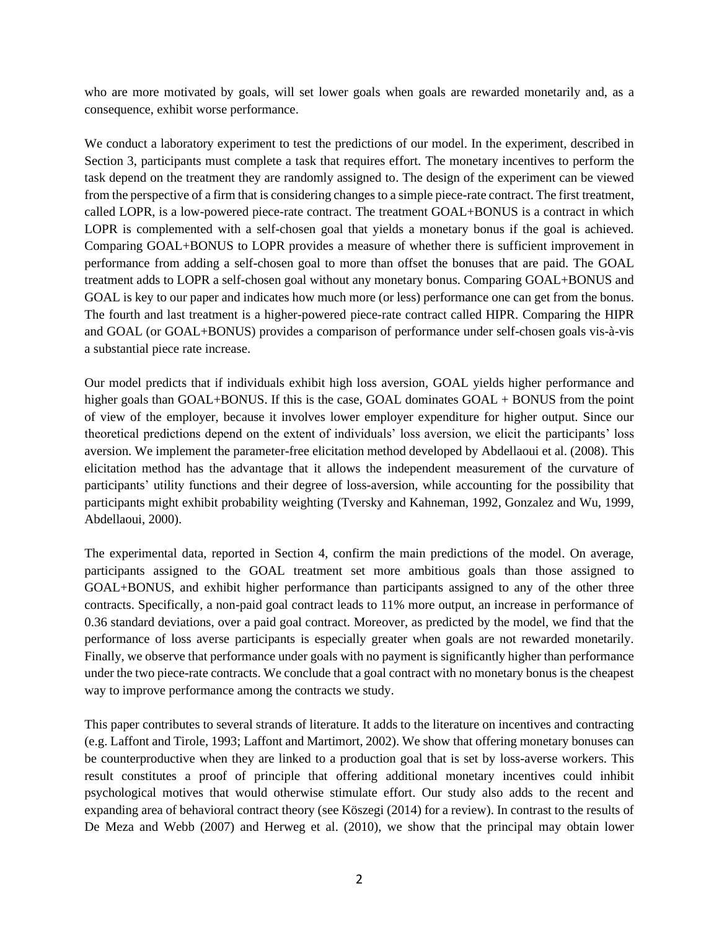who are more motivated by goals, will set lower goals when goals are rewarded monetarily and, as a consequence, exhibit worse performance.

We conduct a laboratory experiment to test the predictions of our model. In the experiment, described in Section 3, participants must complete a task that requires effort. The monetary incentives to perform the task depend on the treatment they are randomly assigned to. The design of the experiment can be viewed from the perspective of a firm that is considering changes to a simple piece-rate contract. The first treatment, called LOPR, is a low-powered piece-rate contract. The treatment GOAL+BONUS is a contract in which LOPR is complemented with a self-chosen goal that yields a monetary bonus if the goal is achieved. Comparing GOAL+BONUS to LOPR provides a measure of whether there is sufficient improvement in performance from adding a self-chosen goal to more than offset the bonuses that are paid. The GOAL treatment adds to LOPR a self-chosen goal without any monetary bonus. Comparing GOAL+BONUS and GOAL is key to our paper and indicates how much more (or less) performance one can get from the bonus. The fourth and last treatment is a higher-powered piece-rate contract called HIPR. Comparing the HIPR and GOAL (or GOAL+BONUS) provides a comparison of performance under self-chosen goals vis-à-vis a substantial piece rate increase.

Our model predicts that if individuals exhibit high loss aversion, GOAL yields higher performance and higher goals than GOAL+BONUS. If this is the case, GOAL dominates GOAL + BONUS from the point of view of the employer, because it involves lower employer expenditure for higher output. Since our theoretical predictions depend on the extent of individuals' loss aversion, we elicit the participants' loss aversion. We implement the parameter-free elicitation method developed by Abdellaoui et al. (2008). This elicitation method has the advantage that it allows the independent measurement of the curvature of participants' utility functions and their degree of loss-aversion, while accounting for the possibility that participants might exhibit probability weighting (Tversky and Kahneman, 1992, Gonzalez and Wu, 1999, Abdellaoui, 2000).

The experimental data, reported in Section 4, confirm the main predictions of the model. On average, participants assigned to the GOAL treatment set more ambitious goals than those assigned to GOAL+BONUS, and exhibit higher performance than participants assigned to any of the other three contracts. Specifically, a non-paid goal contract leads to 11% more output, an increase in performance of 0.36 standard deviations, over a paid goal contract. Moreover, as predicted by the model, we find that the performance of loss averse participants is especially greater when goals are not rewarded monetarily. Finally, we observe that performance under goals with no payment is significantly higher than performance under the two piece-rate contracts. We conclude that a goal contract with no monetary bonus is the cheapest way to improve performance among the contracts we study.

This paper contributes to several strands of literature. It adds to the literature on incentives and contracting (e.g. Laffont and Tirole, 1993; Laffont and Martimort, 2002). We show that offering monetary bonuses can be counterproductive when they are linked to a production goal that is set by loss-averse workers. This result constitutes a proof of principle that offering additional monetary incentives could inhibit psychological motives that would otherwise stimulate effort. Our study also adds to the recent and expanding area of behavioral contract theory (see Köszegi (2014) for a review). In contrast to the results of De Meza and Webb (2007) and Herweg et al. (2010), we show that the principal may obtain lower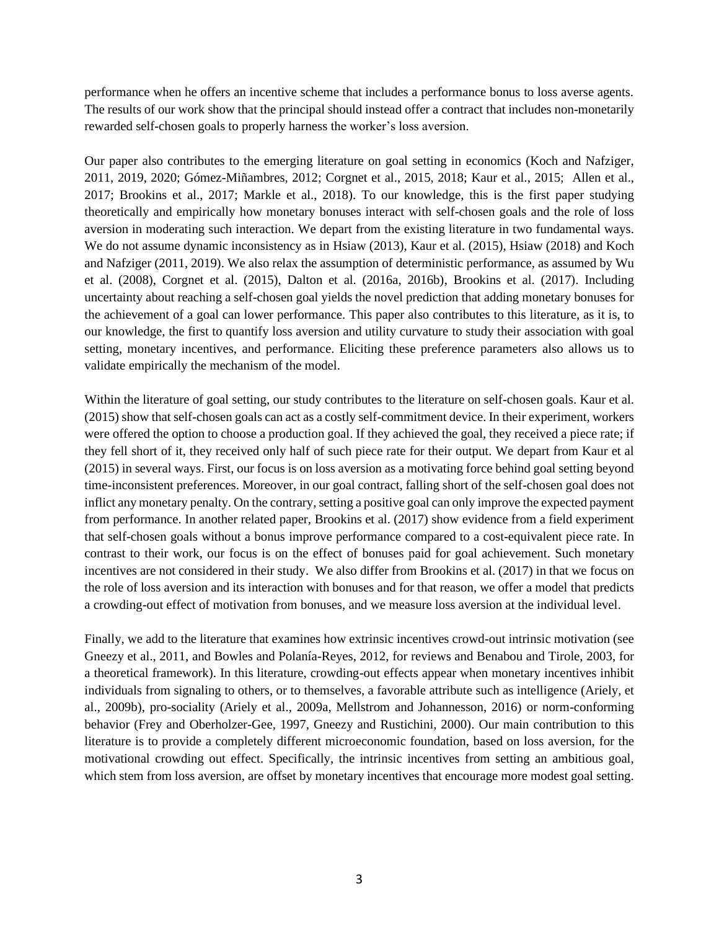performance when he offers an incentive scheme that includes a performance bonus to loss averse agents. The results of our work show that the principal should instead offer a contract that includes non-monetarily rewarded self-chosen goals to properly harness the worker's loss aversion.

Our paper also contributes to the emerging literature on goal setting in economics (Koch and Nafziger, 2011, 2019, 2020; Gómez-Miñambres, 2012; Corgnet et al., 2015, 2018; Kaur et al., 2015; Allen et al., 2017; Brookins et al., 2017; Markle et al., 2018). To our knowledge, this is the first paper studying theoretically and empirically how monetary bonuses interact with self-chosen goals and the role of loss aversion in moderating such interaction. We depart from the existing literature in two fundamental ways. We do not assume dynamic inconsistency as in Hsiaw (2013), Kaur et al. (2015), Hsiaw (2018) and Koch and Nafziger (2011, 2019). We also relax the assumption of deterministic performance, as assumed by Wu et al. (2008), Corgnet et al. (2015), Dalton et al. (2016a, 2016b), Brookins et al. (2017). Including uncertainty about reaching a self-chosen goal yields the novel prediction that adding monetary bonuses for the achievement of a goal can lower performance. This paper also contributes to this literature, as it is, to our knowledge, the first to quantify loss aversion and utility curvature to study their association with goal setting, monetary incentives, and performance. Eliciting these preference parameters also allows us to validate empirically the mechanism of the model.

Within the literature of goal setting, our study contributes to the literature on self-chosen goals. Kaur et al. (2015) show that self-chosen goals can act as a costly self-commitment device. In their experiment, workers were offered the option to choose a production goal. If they achieved the goal, they received a piece rate; if they fell short of it, they received only half of such piece rate for their output. We depart from Kaur et al (2015) in several ways. First, our focus is on loss aversion as a motivating force behind goal setting beyond time-inconsistent preferences. Moreover, in our goal contract, falling short of the self-chosen goal does not inflict any monetary penalty. On the contrary, setting a positive goal can only improve the expected payment from performance. In another related paper, Brookins et al. (2017) show evidence from a field experiment that self-chosen goals without a bonus improve performance compared to a cost-equivalent piece rate. In contrast to their work, our focus is on the effect of bonuses paid for goal achievement. Such monetary incentives are not considered in their study. We also differ from Brookins et al. (2017) in that we focus on the role of loss aversion and its interaction with bonuses and for that reason, we offer a model that predicts a crowding-out effect of motivation from bonuses, and we measure loss aversion at the individual level.

Finally, we add to the literature that examines how extrinsic incentives crowd-out intrinsic motivation (see Gneezy et al., 2011, and Bowles and Polanía-Reyes, 2012, for reviews and Benabou and Tirole, 2003, for a theoretical framework). In this literature, crowding-out effects appear when monetary incentives inhibit individuals from signaling to others, or to themselves, a favorable attribute such as intelligence (Ariely, et al., 2009b), pro-sociality (Ariely et al., 2009a, Mellstrom and Johannesson, 2016) or norm-conforming behavior (Frey and Oberholzer-Gee, 1997, Gneezy and Rustichini, 2000). Our main contribution to this literature is to provide a completely different microeconomic foundation, based on loss aversion, for the motivational crowding out effect. Specifically, the intrinsic incentives from setting an ambitious goal, which stem from loss aversion, are offset by monetary incentives that encourage more modest goal setting.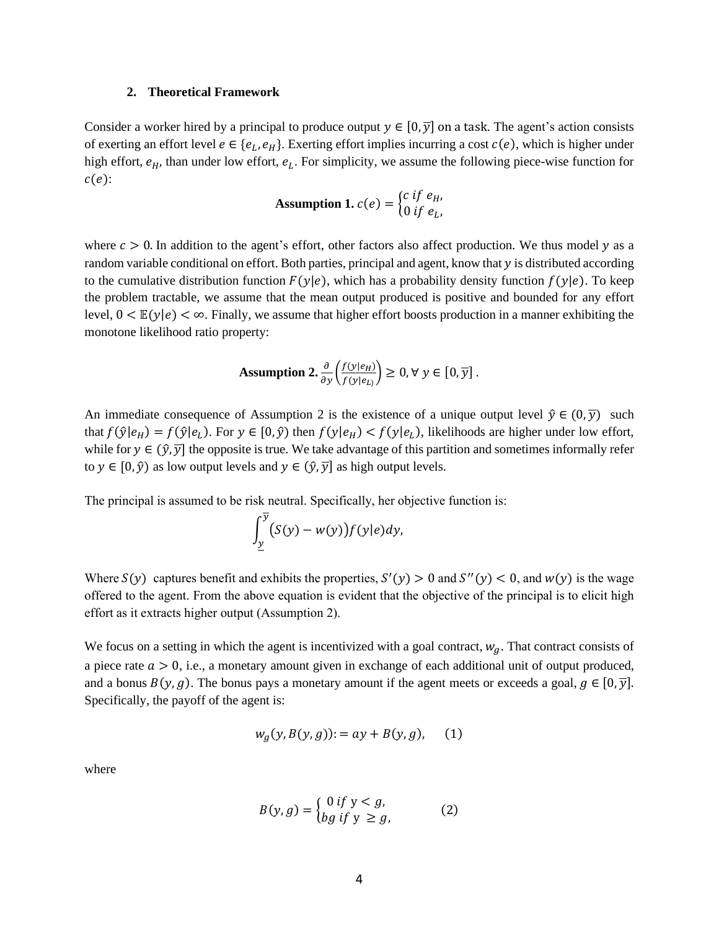#### **2. Theoretical Framework**

Consider a worker hired by a principal to produce output  $y \in [0, \overline{y}]$  on a task. The agent's action consists of exerting an effort level  $e \in \{e_L, e_H\}$ . Exerting effort implies incurring a cost  $c(e)$ , which is higher under high effort,  $e_H$ , than under low effort,  $e_L$ . For simplicity, we assume the following piece-wise function for  $c(e)$ :

**Assumption 1.** 
$$
c(e) = \begin{cases} c \text{ if } e_H, \\ 0 \text{ if } e_L, \end{cases}
$$

where  $c > 0$ . In addition to the agent's effort, other factors also affect production. We thus model  $y$  as a random variable conditional on effort. Both parties, principal and agent, know that  $y$  is distributed according to the cumulative distribution function  $F(y|e)$ , which has a probability density function  $f(y|e)$ . To keep the problem tractable, we assume that the mean output produced is positive and bounded for any effort level,  $0 < E(y|\epsilon) < \infty$ . Finally, we assume that higher effort boosts production in a manner exhibiting the monotone likelihood ratio property:

**Assumption 2.** 
$$
\frac{\partial}{\partial y} \left( \frac{f(y|e_H)}{f(y|e_L)} \right) \geq 0, \forall y \in [0, \overline{y}].
$$

An immediate consequence of Assumption 2 is the existence of a unique output level  $\hat{v} \in (0, \overline{v})$  such that  $f(\hat{y}|e_H) = f(\hat{y}|e_L)$ . For  $y \in [0,\hat{y})$  then  $f(y|e_H) < f(y|e_L)$ , likelihoods are higher under low effort, while for  $y \in (\hat{y}, \overline{y}]$  the opposite is true. We take advantage of this partition and sometimes informally refer to  $y \in [0, \hat{y}]$  as low output levels and  $y \in (\hat{y}, \overline{y}]$  as high output levels.

The principal is assumed to be risk neutral. Specifically, her objective function is:

$$
\int_{\underline{y}}^{\overline{y}} \bigl(S(y) - w(y)\bigr) f(y|e) dy,
$$

Where  $S(y)$  captures benefit and exhibits the properties,  $S'(y) > 0$  and  $S''(y) < 0$ , and  $W(y)$  is the wage offered to the agent. From the above equation is evident that the objective of the principal is to elicit high effort as it extracts higher output (Assumption 2).

We focus on a setting in which the agent is incentivized with a goal contract,  $w_q$ . That contract consists of a piece rate  $a > 0$ , i.e., a monetary amount given in exchange of each additional unit of output produced, and a bonus  $B(y, g)$ . The bonus pays a monetary amount if the agent meets or exceeds a goal,  $g \in [0, \overline{y}]$ . Specifically, the payoff of the agent is:

$$
w_g(y, B(y, g)) = ay + B(y, g), \quad (1)
$$

where

$$
B(y,g) = \begin{cases} 0 \text{ if } y < g, \\ bg \text{ if } y \ge g, \end{cases} \tag{2}
$$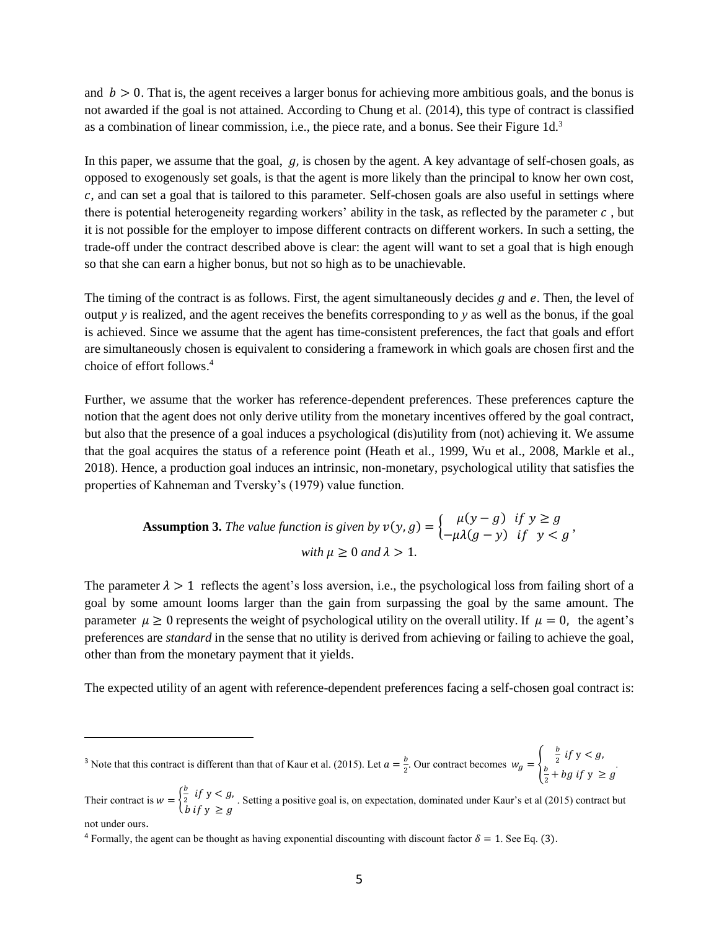and  $b > 0$ . That is, the agent receives a larger bonus for achieving more ambitious goals, and the bonus is not awarded if the goal is not attained. According to Chung et al. (2014), this type of contract is classified as a combination of linear commission, i.e., the piece rate, and a bonus. See their Figure  $1d<sup>3</sup>$ 

In this paper, we assume that the goal,  $q_i$ , is chosen by the agent. A key advantage of self-chosen goals, as opposed to exogenously set goals, is that the agent is more likely than the principal to know her own cost, , and can set a goal that is tailored to this parameter. Self-chosen goals are also useful in settings where there is potential heterogeneity regarding workers' ability in the task, as reflected by the parameter  $c$ , but it is not possible for the employer to impose different contracts on different workers. In such a setting, the trade-off under the contract described above is clear: the agent will want to set a goal that is high enough so that she can earn a higher bonus, but not so high as to be unachievable.

The timing of the contract is as follows. First, the agent simultaneously decides  $q$  and  $e$ . Then, the level of output *y* is realized, and the agent receives the benefits corresponding to *y* as well as the bonus, if the goal is achieved. Since we assume that the agent has time-consistent preferences, the fact that goals and effort are simultaneously chosen is equivalent to considering a framework in which goals are chosen first and the choice of effort follows. 4

Further, we assume that the worker has reference-dependent preferences. These preferences capture the notion that the agent does not only derive utility from the monetary incentives offered by the goal contract, but also that the presence of a goal induces a psychological (dis)utility from (not) achieving it. We assume that the goal acquires the status of a reference point (Heath et al., 1999, Wu et al., 2008, Markle et al., 2018). Hence, a production goal induces an intrinsic, non-monetary, psychological utility that satisfies the properties of Kahneman and Tversky's (1979) value function.

**Assumption 3.** The value function is given by 
$$
v(y, g) = \begin{cases} \mu(y - g) & \text{if } y \ge g \\ -\mu\lambda(g - y) & \text{if } y < g' \end{cases}
$$
  
with  $\mu \ge 0$  and  $\lambda > 1$ .

The parameter  $\lambda > 1$  reflects the agent's loss aversion, i.e., the psychological loss from failing short of a goal by some amount looms larger than the gain from surpassing the goal by the same amount. The parameter  $\mu \ge 0$  represents the weight of psychological utility on the overall utility. If  $\mu = 0$ , the agent's preferences are *standard* in the sense that no utility is derived from achieving or failing to achieve the goal, other than from the monetary payment that it yields.

The expected utility of an agent with reference-dependent preferences facing a self-chosen goal contract is:

<sup>3</sup> Note that this contract is different than that of Kaur et al. (2015). Let  $a = \frac{b}{3}$  $\frac{v}{2}$ . Our contract becomes  $w_g = \{$ b  $\frac{b}{2}$  if  $y < g$ , b  $\frac{b}{2}$  + *bg* if  $y \ge g$ *.* 

Their contract is  $w = \{$ b  $\frac{b}{2}$  if  $y < g$ , b if  $y \ge g$ . Setting a positive goal is, on expectation, dominated under Kaur's et al (2015) contract but

not under ours.

<sup>&</sup>lt;sup>4</sup> Formally, the agent can be thought as having exponential discounting with discount factor  $\delta = 1$ . See Eq. (3).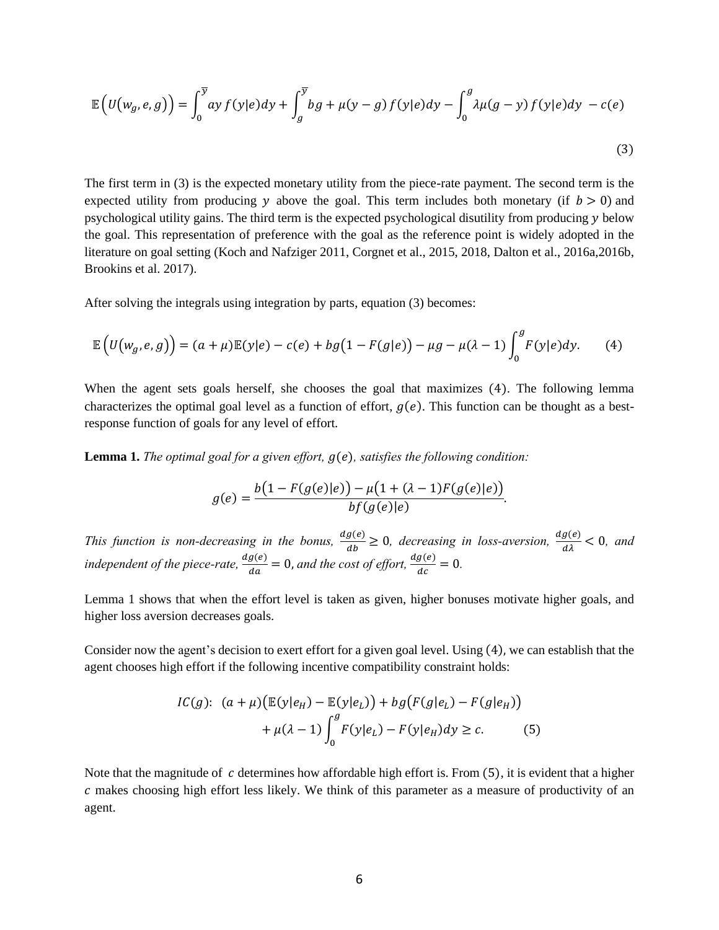$$
\mathbb{E}\left(U(w_g, e, g)\right) = \int_0^{\overline{y}} ay f(y|e)dy + \int_g^{\overline{y}} bg + \mu(y - g) f(y|e)dy - \int_0^g \lambda \mu(g - y) f(y|e)dy - c(e)\tag{3}
$$

The first term in (3) is the expected monetary utility from the piece-rate payment. The second term is the expected utility from producing y above the goal. This term includes both monetary (if  $b > 0$ ) and psychological utility gains. The third term is the expected psychological disutility from producing below the goal. This representation of preference with the goal as the reference point is widely adopted in the literature on goal setting (Koch and Nafziger 2011, Corgnet et al., 2015, 2018, Dalton et al., 2016a,2016b, Brookins et al. 2017).

After solving the integrals using integration by parts, equation (3) becomes:

$$
\mathbb{E}\left(U\big(w_g,e,g\big)\right)=(a+\mu)\mathbb{E}(y|e)-c(e)+bg\big(1-F(g|e)\big)-\mu g-\mu(\lambda-1)\int_0^g F(y|e)dy. \tag{4}
$$

When the agent sets goals herself, she chooses the goal that maximizes (4). The following lemma characterizes the optimal goal level as a function of effort,  $g(e)$ . This function can be thought as a bestresponse function of goals for any level of effort.

Lemma 1. *The optimal goal for a given effort,*  $g(e)$ *, satisfies the following condition:* 

$$
g(e) = \frac{b(1 - F(g(e)|e)) - \mu(1 + (\lambda - 1)F(g(e)|e))}{b f(g(e)|e)}.
$$

*This function is non-decreasing in the bonus,*  $\frac{dg(e)}{dt}$  $\frac{g(e)}{ab} \ge 0$ , decreasing in loss-aversion,  $\frac{dg(e)}{d\lambda} < 0$ , and *independent of the piece-rate,*  $\frac{dg(e)}{dx}$  $\frac{g(e)}{da} = 0$ , and the cost of effort,  $\frac{dg(e)}{dc} = 0$ .

Lemma 1 shows that when the effort level is taken as given, higher bonuses motivate higher goals, and higher loss aversion decreases goals.

Consider now the agent's decision to exert effort for a given goal level. Using (4), we can establish that the agent chooses high effort if the following incentive compatibility constraint holds:

$$
IC(g): (a + \mu)(\mathbb{E}(y|e_H) - \mathbb{E}(y|e_L)) + bg(F(g|e_L) - F(g|e_H))
$$
  
+  $\mu(\lambda - 1)\int_0^g F(y|e_L) - F(y|e_H)dy \ge c.$  (5)

Note that the magnitude of  $c$  determines how affordable high effort is. From  $(5)$ , it is evident that a higher  $c$  makes choosing high effort less likely. We think of this parameter as a measure of productivity of an agent.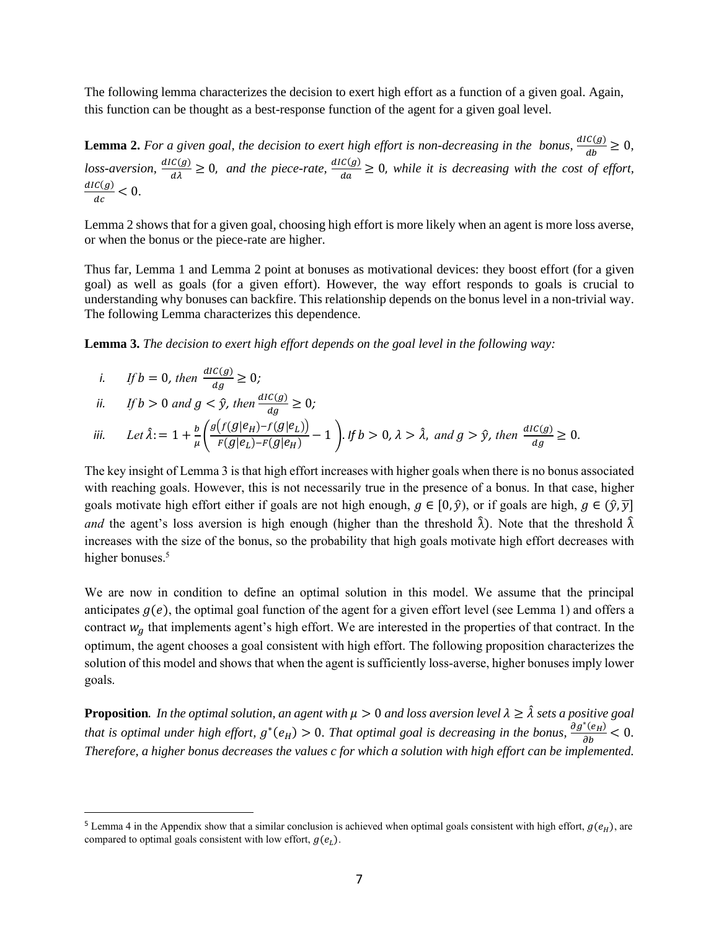The following lemma characterizes the decision to exert high effort as a function of a given goal. Again, this function can be thought as a best-response function of the agent for a given goal level.

**Lemma 2.** For a given goal, the decision to exert high effort is non-decreasing in the bonus,  $\frac{dI(C(g))}{dt}$  $\frac{c(y)}{db} \geq 0,$  $loss-aversion, \frac{dIC(g)}{d\lambda} \geq 0$ , and the piece-rate,  $\frac{dIC(g)}{da}$  $\frac{\partial(u)}{\partial a} \geq 0$ , while it is decreasing with the cost of effort,  $dIC(g)$  $\frac{c(y)}{dc} < 0.$ 

Lemma 2 shows that for a given goal, choosing high effort is more likely when an agent is more loss averse, or when the bonus or the piece-rate are higher.

Thus far, Lemma 1 and Lemma 2 point at bonuses as motivational devices: they boost effort (for a given goal) as well as goals (for a given effort). However, the way effort responds to goals is crucial to understanding why bonuses can backfire. This relationship depends on the bonus level in a non-trivial way. The following Lemma characterizes this dependence.

**Lemma 3.** *The decision to exert high effort depends on the goal level in the following way:*

i. If 
$$
b = 0
$$
, then  $\frac{dI C(g)}{dg} \ge 0$ ;

*ii.* If 
$$
b > 0
$$
 and  $g < \hat{y}$ , then  $\frac{dI(C(g))}{dg} \ge 0$ ;

$$
\text{iii.} \qquad \text{Let } \hat{\lambda} = 1 + \frac{b}{\mu} \left( \frac{g\big(f(g|e_H) - f(g|e_L)\big)}{F(g|e_L) - F(g|e_H)} - 1 \right). \text{ If } b > 0, \lambda > \hat{\lambda}, \text{ and } g > \hat{y}, \text{ then } \frac{\text{d}I(C(g))}{\text{d}g} \ge 0.
$$

The key insight of Lemma 3 is that high effort increases with higher goals when there is no bonus associated with reaching goals. However, this is not necessarily true in the presence of a bonus. In that case, higher goals motivate high effort either if goals are not high enough,  $q \in [0, \hat{y})$ , or if goals are high,  $q \in (\hat{y}, \overline{y}]$ *and* the agent's loss aversion is high enough (higher than the threshold  $\hat{\lambda}$ ). Note that the threshold  $\hat{\lambda}$ increases with the size of the bonus, so the probability that high goals motivate high effort decreases with higher bonuses.<sup>5</sup>

We are now in condition to define an optimal solution in this model. We assume that the principal anticipates  $g(e)$ , the optimal goal function of the agent for a given effort level (see Lemma 1) and offers a contract  $w_a$  that implements agent's high effort. We are interested in the properties of that contract. In the optimum, the agent chooses a goal consistent with high effort. The following proposition characterizes the solution of this model and shows that when the agent is sufficiently loss-averse, higher bonuses imply lower goals.

**Proposition**. *In the optimal solution, an agent with*  $\mu > 0$  *and loss aversion level*  $\lambda \geq \hat{\lambda}$  *sets a positive goal* that is optimal under high effort,  $g^*(e_H) > 0$ . That optimal goal is decreasing in the bonus,  $\frac{\partial g^*(e_H)}{\partial b} < 0$ . *Therefore, a higher bonus decreases the values c for which a solution with high effort can be implemented.* 

<sup>&</sup>lt;sup>5</sup> Lemma 4 in the Appendix show that a similar conclusion is achieved when optimal goals consistent with high effort,  $g(e_H)$ , are compared to optimal goals consistent with low effort,  $g(e_l)$ .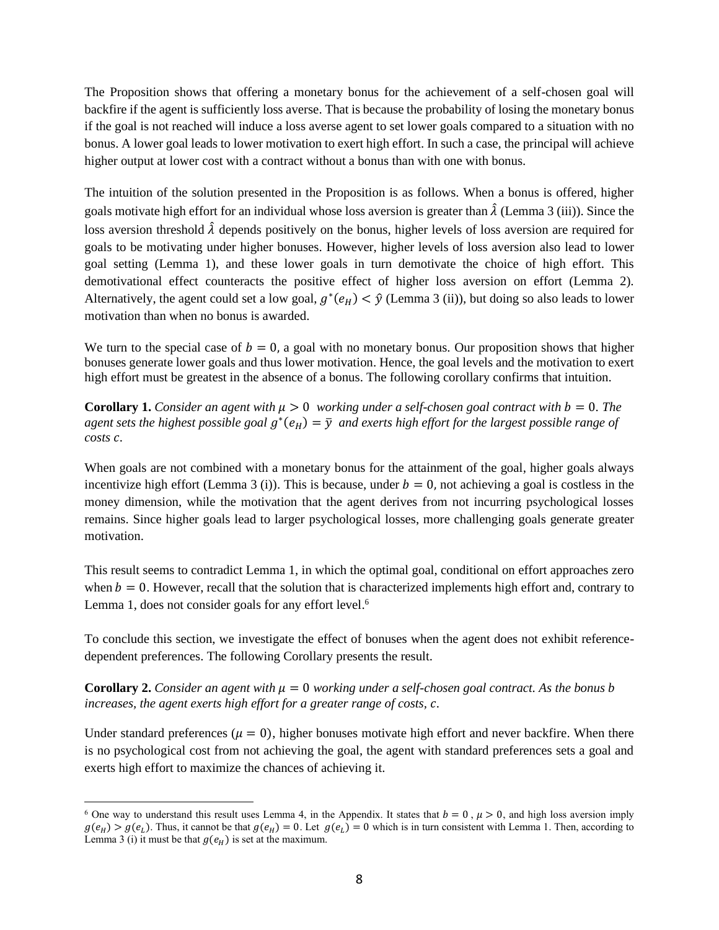The Proposition shows that offering a monetary bonus for the achievement of a self-chosen goal will backfire if the agent is sufficiently loss averse. That is because the probability of losing the monetary bonus if the goal is not reached will induce a loss averse agent to set lower goals compared to a situation with no bonus. A lower goal leads to lower motivation to exert high effort. In such a case, the principal will achieve higher output at lower cost with a contract without a bonus than with one with bonus.

The intuition of the solution presented in the Proposition is as follows. When a bonus is offered, higher goals motivate high effort for an individual whose loss aversion is greater than  $\hat{\lambda}$  (Lemma 3 (iii)). Since the loss aversion threshold  $\hat{\lambda}$  depends positively on the bonus, higher levels of loss aversion are required for goals to be motivating under higher bonuses. However, higher levels of loss aversion also lead to lower goal setting (Lemma 1), and these lower goals in turn demotivate the choice of high effort. This demotivational effect counteracts the positive effect of higher loss aversion on effort (Lemma 2). Alternatively, the agent could set a low goal,  $g^*(e_H) < \hat{y}$  (Lemma 3 (ii)), but doing so also leads to lower motivation than when no bonus is awarded.

We turn to the special case of  $b = 0$ , a goal with no monetary bonus. Our proposition shows that higher bonuses generate lower goals and thus lower motivation. Hence, the goal levels and the motivation to exert high effort must be greatest in the absence of a bonus. The following corollary confirms that intuition.

**Corollary 1.** *Consider an agent with*  $\mu > 0$  *working under a self-chosen goal contract with*  $b = 0$ *. The* agent sets the highest possible goal  $g^*(e_H) = \overline{y}$  and exerts high effort for the largest possible range of *costs .*

When goals are not combined with a monetary bonus for the attainment of the goal, higher goals always incentivize high effort (Lemma 3 (i)). This is because, under  $b = 0$ , not achieving a goal is costless in the money dimension, while the motivation that the agent derives from not incurring psychological losses remains. Since higher goals lead to larger psychological losses, more challenging goals generate greater motivation.

This result seems to contradict Lemma 1, in which the optimal goal, conditional on effort approaches zero when  $b = 0$ . However, recall that the solution that is characterized implements high effort and, contrary to Lemma 1, does not consider goals for any effort level.<sup>6</sup>

To conclude this section, we investigate the effect of bonuses when the agent does not exhibit referencedependent preferences. The following Corollary presents the result.

**Corollary 2.** *Consider an agent with*  $\mu = 0$  *working under a self-chosen goal contract. As the bonus b increases, the agent exerts high effort for a greater range of costs, .*

Under standard preferences ( $\mu = 0$ ), higher bonuses motivate high effort and never backfire. When there is no psychological cost from not achieving the goal, the agent with standard preferences sets a goal and exerts high effort to maximize the chances of achieving it.

<sup>&</sup>lt;sup>6</sup> One way to understand this result uses Lemma 4, in the Appendix. It states that  $b = 0$ ,  $\mu > 0$ , and high loss aversion imply  $g(e_H) > g(e_L)$ . Thus, it cannot be that  $g(e_H) = 0$ . Let  $g(e_L) = 0$  which is in turn consistent with Lemma 1. Then, according to Lemma 3 (i) it must be that  $g(e_H)$  is set at the maximum.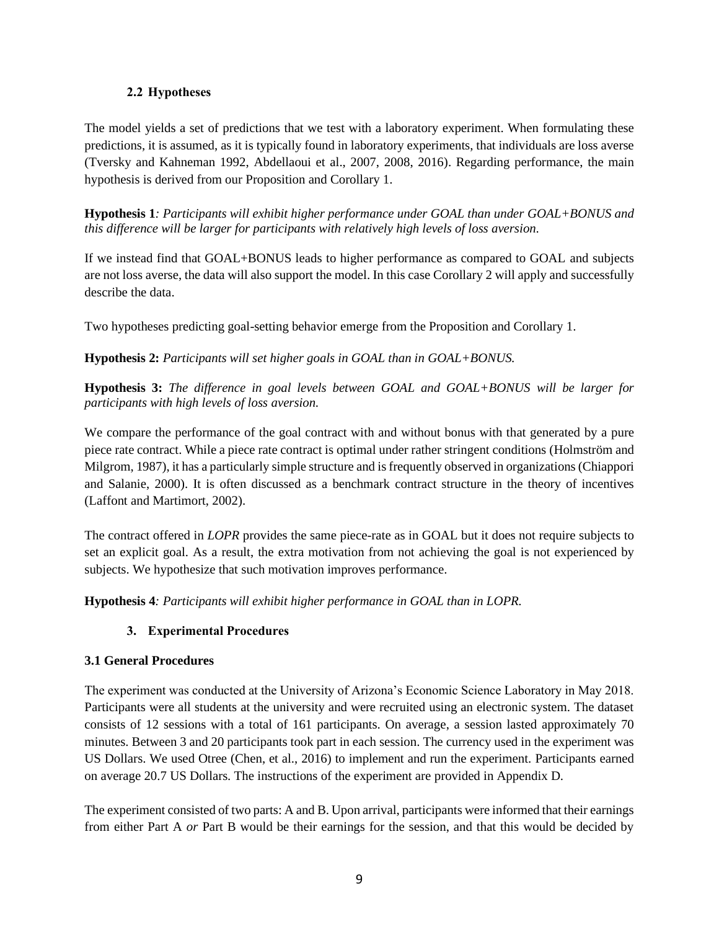# **2.2 Hypotheses**

The model yields a set of predictions that we test with a laboratory experiment. When formulating these predictions, it is assumed, as it is typically found in laboratory experiments, that individuals are loss averse (Tversky and Kahneman 1992, Abdellaoui et al., 2007, 2008, 2016). Regarding performance, the main hypothesis is derived from our Proposition and Corollary 1.

**Hypothesis 1***: Participants will exhibit higher performance under GOAL than under GOAL+BONUS and this difference will be larger for participants with relatively high levels of loss aversion.* 

If we instead find that GOAL+BONUS leads to higher performance as compared to GOAL and subjects are not loss averse, the data will also support the model. In this case Corollary 2 will apply and successfully describe the data.

Two hypotheses predicting goal-setting behavior emerge from the Proposition and Corollary 1.

**Hypothesis 2:** *Participants will set higher goals in GOAL than in GOAL+BONUS.* 

**Hypothesis 3:** *The difference in goal levels between GOAL and GOAL+BONUS will be larger for participants with high levels of loss aversion.* 

We compare the performance of the goal contract with and without bonus with that generated by a pure piece rate contract. While a piece rate contract is optimal under rather stringent conditions (Holmström and Milgrom, 1987), it has a particularly simple structure and isfrequently observed in organizations (Chiappori and Salanie, 2000). It is often discussed as a benchmark contract structure in the theory of incentives (Laffont and Martimort, 2002).

The contract offered in *LOPR* provides the same piece-rate as in GOAL but it does not require subjects to set an explicit goal. As a result, the extra motivation from not achieving the goal is not experienced by subjects. We hypothesize that such motivation improves performance.

**Hypothesis 4***: Participants will exhibit higher performance in GOAL than in LOPR.*

# **3. Experimental Procedures**

# **3.1 General Procedures**

The experiment was conducted at the University of Arizona's Economic Science Laboratory in May 2018. Participants were all students at the university and were recruited using an electronic system. The dataset consists of 12 sessions with a total of 161 participants. On average, a session lasted approximately 70 minutes. Between 3 and 20 participants took part in each session. The currency used in the experiment was US Dollars. We used Otree (Chen, et al., 2016) to implement and run the experiment. Participants earned on average 20.7 US Dollars. The instructions of the experiment are provided in Appendix D.

The experiment consisted of two parts: A and B. Upon arrival, participants were informed that their earnings from either Part A *or* Part B would be their earnings for the session, and that this would be decided by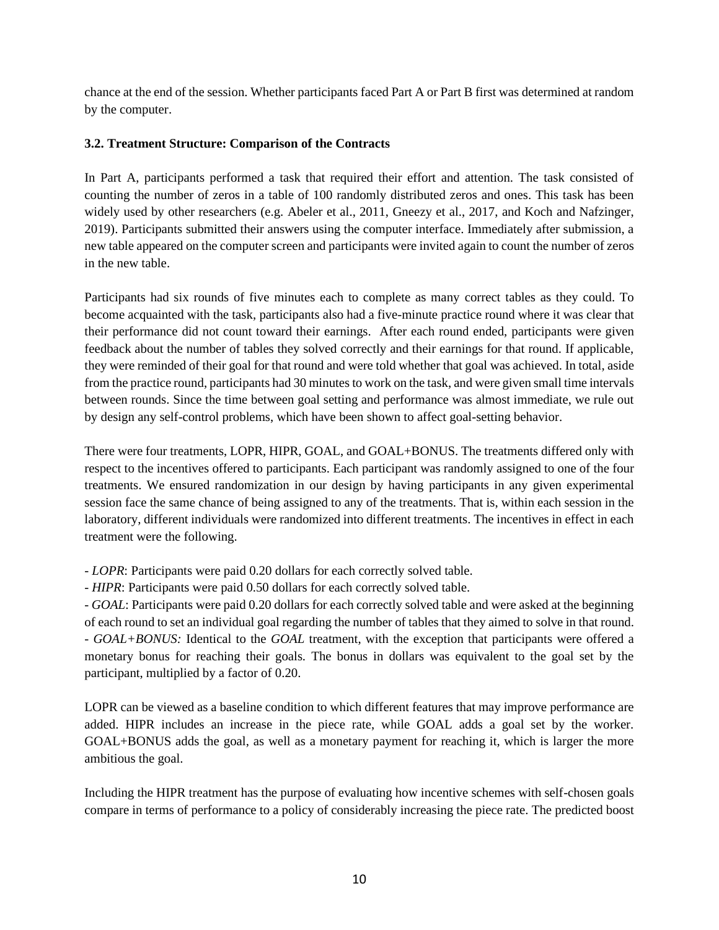chance at the end of the session. Whether participants faced Part A or Part B first was determined at random by the computer.

# **3.2. Treatment Structure: Comparison of the Contracts**

In Part A, participants performed a task that required their effort and attention. The task consisted of counting the number of zeros in a table of 100 randomly distributed zeros and ones. This task has been widely used by other researchers (e.g. Abeler et al., 2011, Gneezy et al., 2017, and Koch and Nafzinger, 2019). Participants submitted their answers using the computer interface. Immediately after submission, a new table appeared on the computer screen and participants were invited again to count the number of zeros in the new table.

Participants had six rounds of five minutes each to complete as many correct tables as they could. To become acquainted with the task, participants also had a five-minute practice round where it was clear that their performance did not count toward their earnings. After each round ended, participants were given feedback about the number of tables they solved correctly and their earnings for that round. If applicable, they were reminded of their goal for that round and were told whether that goal was achieved. In total, aside from the practice round, participants had 30 minutes to work on the task, and were given small time intervals between rounds. Since the time between goal setting and performance was almost immediate, we rule out by design any self-control problems, which have been shown to affect goal-setting behavior.

There were four treatments, LOPR, HIPR, GOAL, and GOAL+BONUS. The treatments differed only with respect to the incentives offered to participants. Each participant was randomly assigned to one of the four treatments. We ensured randomization in our design by having participants in any given experimental session face the same chance of being assigned to any of the treatments. That is, within each session in the laboratory, different individuals were randomized into different treatments. The incentives in effect in each treatment were the following.

- *LOPR*: Participants were paid 0.20 dollars for each correctly solved table.

- *HIPR*: Participants were paid 0.50 dollars for each correctly solved table.

- *GOAL*: Participants were paid 0.20 dollars for each correctly solved table and were asked at the beginning of each round to set an individual goal regarding the number of tables that they aimed to solve in that round. - *GOAL+BONUS:* Identical to the *GOAL* treatment, with the exception that participants were offered a monetary bonus for reaching their goals. The bonus in dollars was equivalent to the goal set by the participant, multiplied by a factor of 0.20.

LOPR can be viewed as a baseline condition to which different features that may improve performance are added. HIPR includes an increase in the piece rate, while GOAL adds a goal set by the worker. GOAL+BONUS adds the goal, as well as a monetary payment for reaching it, which is larger the more ambitious the goal.

Including the HIPR treatment has the purpose of evaluating how incentive schemes with self-chosen goals compare in terms of performance to a policy of considerably increasing the piece rate. The predicted boost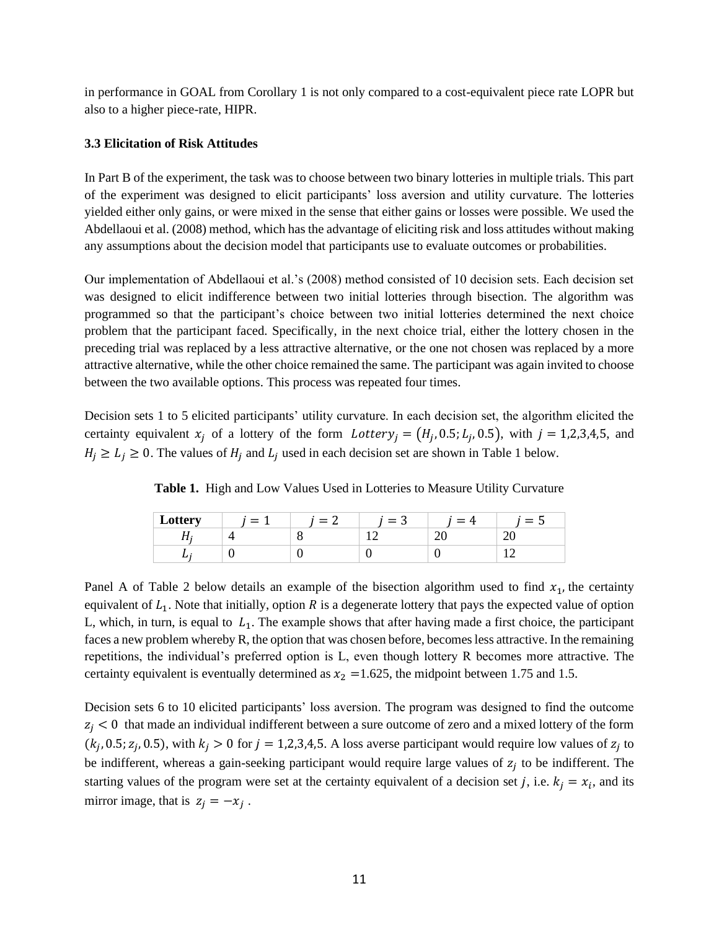in performance in GOAL from Corollary 1 is not only compared to a cost-equivalent piece rate LOPR but also to a higher piece-rate, HIPR.

## **3.3 Elicitation of Risk Attitudes**

In Part B of the experiment, the task was to choose between two binary lotteries in multiple trials. This part of the experiment was designed to elicit participants' loss aversion and utility curvature. The lotteries yielded either only gains, or were mixed in the sense that either gains or losses were possible. We used the Abdellaoui et al. (2008) method, which has the advantage of eliciting risk and loss attitudes without making any assumptions about the decision model that participants use to evaluate outcomes or probabilities.

Our implementation of Abdellaoui et al.'s (2008) method consisted of 10 decision sets. Each decision set was designed to elicit indifference between two initial lotteries through bisection. The algorithm was programmed so that the participant's choice between two initial lotteries determined the next choice problem that the participant faced. Specifically, in the next choice trial, either the lottery chosen in the preceding trial was replaced by a less attractive alternative, or the one not chosen was replaced by a more attractive alternative, while the other choice remained the same. The participant was again invited to choose between the two available options. This process was repeated four times.

Decision sets 1 to 5 elicited participants' utility curvature. In each decision set, the algorithm elicited the certainty equivalent  $x_j$  of a lottery of the form  $Lottery_j = (H_j, 0.5; L_j, 0.5)$ , with  $j = 1,2,3,4,5$ , and  $H_i \ge L_i \ge 0$ . The values of  $H_i$  and  $L_i$  used in each decision set are shown in Table 1 below.

| Lottery | $=$ | $=$ | ◠<br>$=$<br>ъ. | $=$ | =   |
|---------|-----|-----|----------------|-----|-----|
|         |     |     |                |     | - - |
| ∸       |     |     |                |     |     |

**Table 1.** High and Low Values Used in Lotteries to Measure Utility Curvature

Panel A of Table 2 below details an example of the bisection algorithm used to find  $x_1$ , the certainty equivalent of  $L_1$ . Note that initially, option R is a degenerate lottery that pays the expected value of option L, which, in turn, is equal to  $L_1$ . The example shows that after having made a first choice, the participant faces a new problem whereby R, the option that was chosen before, becomes less attractive. In the remaining repetitions, the individual's preferred option is L, even though lottery R becomes more attractive. The certainty equivalent is eventually determined as  $x_2 = 1.625$ , the midpoint between 1.75 and 1.5.

Decision sets 6 to 10 elicited participants' loss aversion. The program was designed to find the outcome  $z_i$  < 0 that made an individual indifferent between a sure outcome of zero and a mixed lottery of the form  $(k_j, 0.5; z_j, 0.5)$ , with  $k_j > 0$  for  $j = 1, 2, 3, 4, 5$ . A loss averse participant would require low values of  $z_j$  to be indifferent, whereas a gain-seeking participant would require large values of  $z_j$  to be indifferent. The starting values of the program were set at the certainty equivalent of a decision set j, i.e.  $k_j = x_i$ , and its mirror image, that is  $z_j = -x_j$ .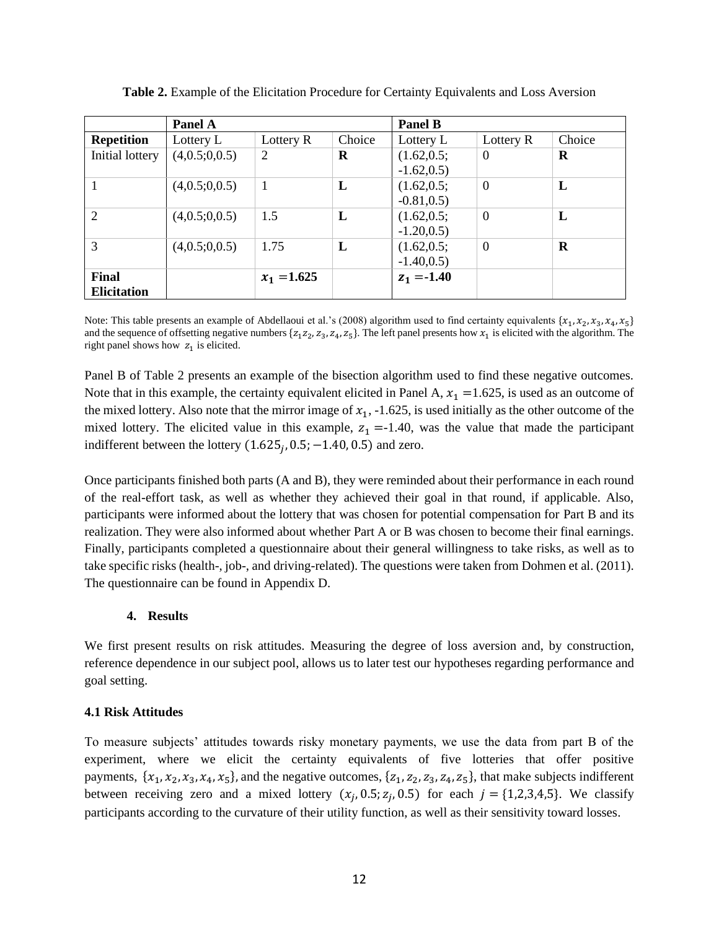|                             | Panel A       |               |              | <b>Panel B</b>               |                  |          |
|-----------------------------|---------------|---------------|--------------|------------------------------|------------------|----------|
| <b>Repetition</b>           | Lottery L     | Lottery R     | Choice       | Lottery L                    | Lottery R        | Choice   |
| Initial lottery             | (4,0.5;0,0.5) | 2             | R            | (1.62, 0.5;<br>$-1.62, 0.5)$ | $\boldsymbol{0}$ | R        |
|                             | (4,0.5;0,0.5) | 1             | L            | (1.62, 0.5)<br>$-0.81, 0.5)$ | $\boldsymbol{0}$ | L        |
| $\overline{2}$              | (4,0.5;0,0.5) | 1.5           | L            | (1.62, 0.5)<br>$-1.20, 0.5$  | $\overline{0}$   | L        |
| 3                           | (4,0.5;0,0.5) | 1.75          | $\mathbf{L}$ | (1.62, 0.5)<br>$-1.40, 0.5)$ | $\overline{0}$   | $\bf{R}$ |
| Final<br><b>Elicitation</b> |               | $x_1 = 1.625$ |              | $z_1 = -1.40$                |                  |          |

**Table 2.** Example of the Elicitation Procedure for Certainty Equivalents and Loss Aversion

Note: This table presents an example of Abdellaoui et al.'s (2008) algorithm used to find certainty equivalents  $\{x_1, x_2, x_3, x_4, x_5\}$ and the sequence of offsetting negative numbers  $\{z_1 z_2, z_3, z_4, z_5\}$ . The left panel presents how  $x_1$  is elicited with the algorithm. The right panel shows how  $z_1$  is elicited.

Panel B of Table 2 presents an example of the bisection algorithm used to find these negative outcomes. Note that in this example, the certainty equivalent elicited in Panel A,  $x_1 = 1.625$ , is used as an outcome of the mixed lottery. Also note that the mirror image of  $x_1$ ,  $-1.625$ , is used initially as the other outcome of the mixed lottery. The elicited value in this example,  $z_1 = -1.40$ , was the value that made the participant indifferent between the lottery  $(1.625<sub>j</sub>, 0.5, -1.40, 0.5)$  and zero.

Once participants finished both parts (A and B), they were reminded about their performance in each round of the real-effort task, as well as whether they achieved their goal in that round, if applicable. Also, participants were informed about the lottery that was chosen for potential compensation for Part B and its realization. They were also informed about whether Part A or B was chosen to become their final earnings. Finally, participants completed a questionnaire about their general willingness to take risks, as well as to take specific risks (health-, job-, and driving-related). The questions were taken from Dohmen et al. (2011). The questionnaire can be found in Appendix D.

# **4. Results**

We first present results on risk attitudes. Measuring the degree of loss aversion and, by construction, reference dependence in our subject pool, allows us to later test our hypotheses regarding performance and goal setting.

# **4.1 Risk Attitudes**

To measure subjects' attitudes towards risky monetary payments, we use the data from part B of the experiment, where we elicit the certainty equivalents of five lotteries that offer positive payments,  $\{x_1, x_2, x_3, x_4, x_5\}$ , and the negative outcomes,  $\{z_1, z_2, z_3, z_4, z_5\}$ , that make subjects indifferent between receiving zero and a mixed lottery  $(x_j, 0.5; z_j, 0.5)$  for each  $j = \{1,2,3,4,5\}$ . We classify participants according to the curvature of their utility function, as well as their sensitivity toward losses.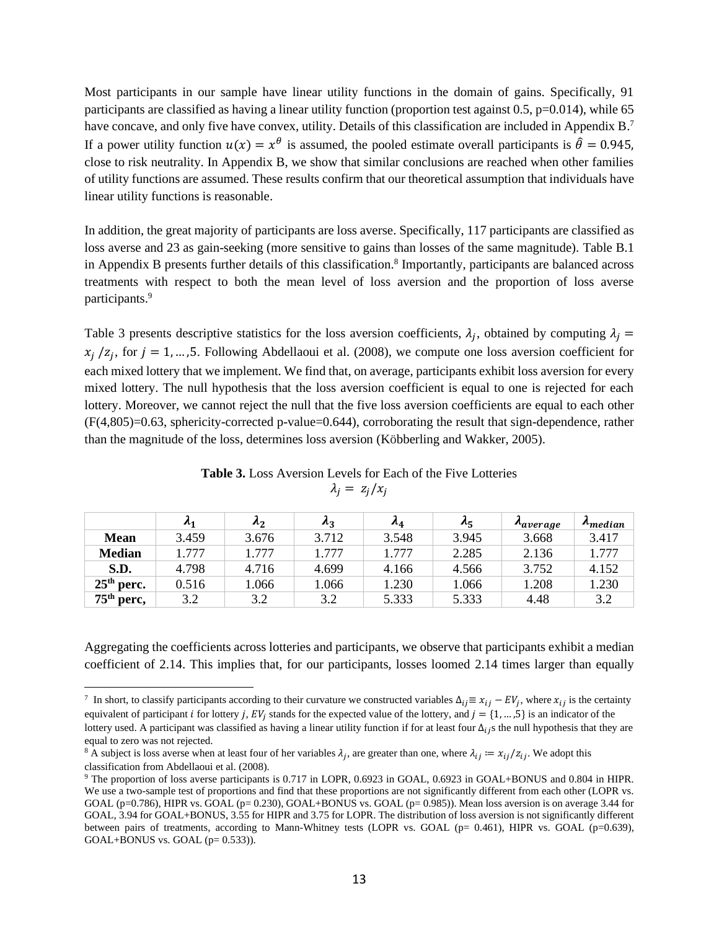Most participants in our sample have linear utility functions in the domain of gains. Specifically, 91 participants are classified as having a linear utility function (proportion test against 0.5, p=0.014), while 65 have concave, and only five have convex, utility. Details of this classification are included in Appendix B.<sup>7</sup> If a power utility function  $u(x) = x^{\theta}$  is assumed, the pooled estimate overall participants is  $\hat{\theta} = 0.945$ , close to risk neutrality. In Appendix B, we show that similar conclusions are reached when other families of utility functions are assumed. These results confirm that our theoretical assumption that individuals have linear utility functions is reasonable.

In addition, the great majority of participants are loss averse. Specifically, 117 participants are classified as loss averse and 23 as gain-seeking (more sensitive to gains than losses of the same magnitude). Table B.1 in Appendix B presents further details of this classification.<sup>8</sup> Importantly, participants are balanced across treatments with respect to both the mean level of loss aversion and the proportion of loss averse participants.<sup>9</sup>

Table 3 presents descriptive statistics for the loss aversion coefficients,  $\lambda_j$ , obtained by computing  $\lambda_j =$  $x_j$  /z<sub>j</sub>, for  $j = 1, ..., 5$ . Following Abdellaoui et al. (2008), we compute one loss aversion coefficient for each mixed lottery that we implement. We find that, on average, participants exhibit loss aversion for every mixed lottery. The null hypothesis that the loss aversion coefficient is equal to one is rejected for each lottery. Moreover, we cannot reject the null that the five loss aversion coefficients are equal to each other (F(4,805)=0.63, sphericity-corrected p-value=0.644), corroborating the result that sign-dependence, rather than the magnitude of the loss, determines loss aversion (Köbberling and Wakker, 2005).

|               | $\mathbf{A}_1$ | $\lambda_2$ | $\lambda_3$ | $\lambda_4$ | $\lambda_5$ | <b>A</b> average | $\boldsymbol{\Lambda_{median}}$ |
|---------------|----------------|-------------|-------------|-------------|-------------|------------------|---------------------------------|
| <b>Mean</b>   | 3.459          | 3.676       | 3.712       | 3.548       | 3.945       | 3.668            | 3.417                           |
| <b>Median</b> | 1.777          | 1.777       | 1.777       | 1.777       | 2.285       | 2.136            | 1.777                           |
| S.D.          | 4.798          | 4.716       | 4.699       | 4.166       | 4.566       | 3.752            | 4.152                           |
| $25th$ perc.  | 0.516          | 1.066       | 1.066       | 1.230       | 1.066       | 1.208            | 1.230                           |
| $75th$ perc,  | 3.2            | 3.2         | 3.2         | 5.333       | 5.333       | 4.48             | 3.2                             |

**Table 3.** Loss Aversion Levels for Each of the Five Lotteries  $\lambda_i = z_i/x_i$ 

Aggregating the coefficients across lotteries and participants, we observe that participants exhibit a median coefficient of 2.14. This implies that, for our participants, losses loomed 2.14 times larger than equally

<sup>&</sup>lt;sup>7</sup> In short, to classify participants according to their curvature we constructed variables  $\Delta_{ij} \equiv x_{ij} - EV_j$ , where  $x_{ij}$  is the certainty equivalent of participant *i* for lottery *j*,  $EV_j$  stands for the expected value of the lottery, and  $j = \{1, ..., 5\}$  is an indicator of the lottery used. A participant was classified as having a linear utility function if for at least four  $\Delta_{ij}$ s the null hypothesis that they are equal to zero was not rejected.

<sup>&</sup>lt;sup>8</sup> A subject is loss averse when at least four of her variables  $\lambda_j$ , are greater than one, where  $\lambda_{ij} := x_{ij}/z_{ij}$ . We adopt this classification from Abdellaoui et al. (2008).

<sup>9</sup> The proportion of loss averse participants is 0.717 in LOPR, 0.6923 in GOAL, 0.6923 in GOAL+BONUS and 0.804 in HIPR. We use a two-sample test of proportions and find that these proportions are not significantly different from each other (LOPR vs. GOAL ( $p=0.786$ ), HIPR vs. GOAL ( $p=0.230$ ), GOAL+BONUS vs. GOAL ( $p=0.985$ )). Mean loss aversion is on average 3.44 for GOAL, 3.94 for GOAL+BONUS, 3.55 for HIPR and 3.75 for LOPR. The distribution of loss aversion is not significantly different between pairs of treatments, according to Mann-Whitney tests (LOPR vs. GOAL (p= 0.461), HIPR vs. GOAL (p=0.639), GOAL+BONUS vs. GOAL  $(p= 0.533)$ ).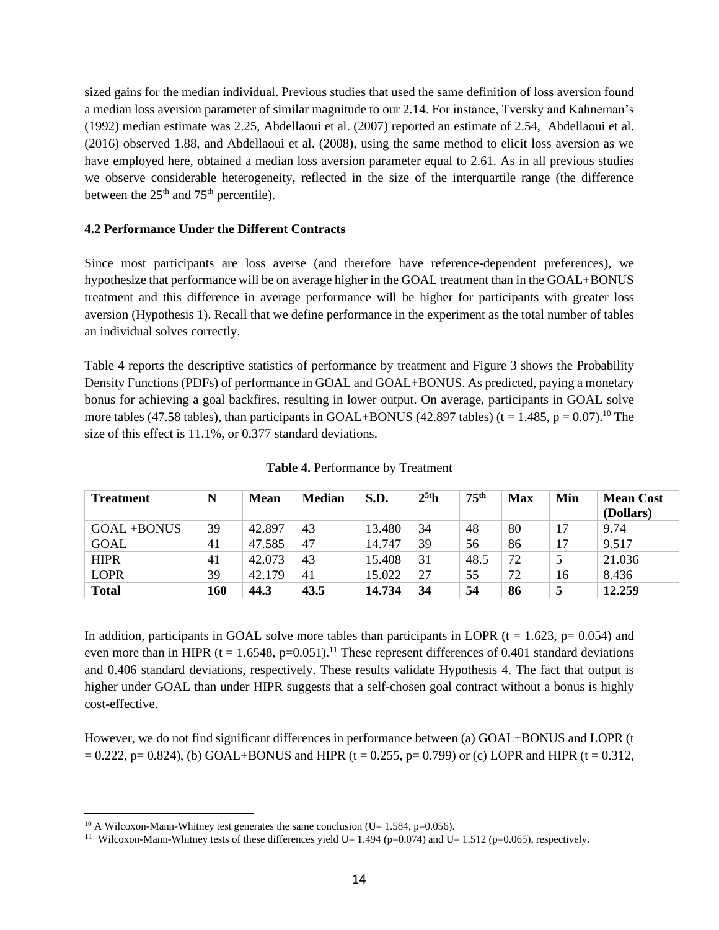sized gains for the median individual. Previous studies that used the same definition of loss aversion found a median loss aversion parameter of similar magnitude to our 2.14. For instance, Tversky and Kahneman's (1992) median estimate was 2.25, Abdellaoui et al. (2007) reported an estimate of 2.54, Abdellaoui et al. (2016) observed 1.88, and Abdellaoui et al. (2008), using the same method to elicit loss aversion as we have employed here, obtained a median loss aversion parameter equal to 2.61. As in all previous studies we observe considerable heterogeneity, reflected in the size of the interquartile range (the difference between the  $25<sup>th</sup>$  and  $75<sup>th</sup>$  percentile).

# **4.2 Performance Under the Different Contracts**

Since most participants are loss averse (and therefore have reference-dependent preferences), we hypothesize that performance will be on average higher in the GOAL treatment than in the GOAL+BONUS treatment and this difference in average performance will be higher for participants with greater loss aversion (Hypothesis 1). Recall that we define performance in the experiment as the total number of tables an individual solves correctly.

Table 4 reports the descriptive statistics of performance by treatment and Figure 3 shows the Probability Density Functions (PDFs) of performance in GOAL and GOAL+BONUS. As predicted, paying a monetary bonus for achieving a goal backfires, resulting in lower output. On average, participants in GOAL solve more tables (47.58 tables), than participants in GOAL+BONUS (42.897 tables) (t = 1.485, p = 0.07).<sup>10</sup> The size of this effect is 11.1%, or 0.377 standard deviations.

| <b>Treatment</b> | N   | <b>Mean</b> | <b>Median</b> | S.D.   | $2^{5t}$ h | 75 <sup>th</sup> | <b>Max</b> | Min | <b>Mean Cost</b><br>(Dollars) |
|------------------|-----|-------------|---------------|--------|------------|------------------|------------|-----|-------------------------------|
| GOAL+BONUS       | 39  | 42.897      | 43            | 13.480 | 34         | 48               | 80         | 17  | 9.74                          |
| <b>GOAL</b>      | 41  | 47.585      | 47            | 14.747 | 39         | 56               | 86         | 17  | 9.517                         |
| <b>HIPR</b>      | 41  | 42.073      | 43            | 15.408 | 31         | 48.5             | 72         |     | 21.036                        |
| <b>LOPR</b>      | 39  | 42.179      | 41            | 15.022 | 27         | 55               | 72         | 16  | 8.436                         |
| <b>Total</b>     | 160 | 44.3        | 43.5          | 14.734 | 34         | 54               | 86         |     | 12.259                        |

**Table 4.** Performance by Treatment

In addition, participants in GOAL solve more tables than participants in LOPR ( $t = 1.623$ ,  $p = 0.054$ ) and even more than in HIPR (t = 1.6548, p=0.051).<sup>11</sup> These represent differences of 0.401 standard deviations and 0.406 standard deviations, respectively. These results validate Hypothesis 4. The fact that output is higher under GOAL than under HIPR suggests that a self-chosen goal contract without a bonus is highly cost-effective.

However, we do not find significant differences in performance between (a) GOAL+BONUS and LOPR (t  $= 0.222$ , p= 0.824), (b) GOAL+BONUS and HIPR (t = 0.255, p= 0.799) or (c) LOPR and HIPR (t = 0.312,

<sup>&</sup>lt;sup>10</sup> A Wilcoxon-Mann-Whitney test generates the same conclusion (U=  $1.584$ , p=0.056).

<sup>&</sup>lt;sup>11</sup> Wilcoxon-Mann-Whitney tests of these differences yield U= 1.494 ( $p=0.074$ ) and U= 1.512 ( $p=0.065$ ), respectively.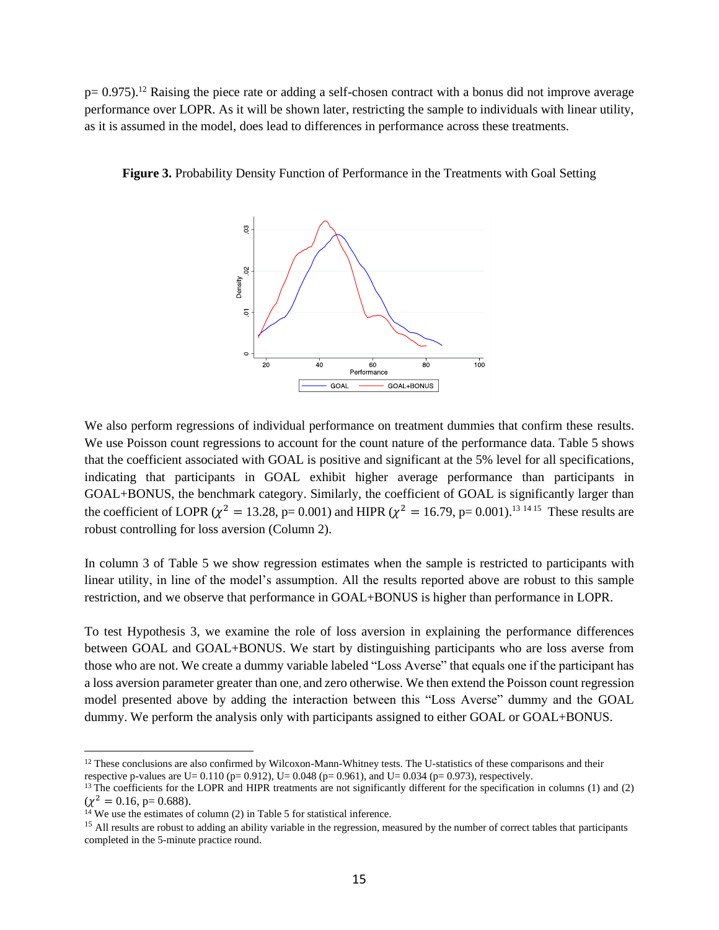$p= 0.975$ .<sup>12</sup> Raising the piece rate or adding a self-chosen contract with a bonus did not improve average performance over LOPR. As it will be shown later, restricting the sample to individuals with linear utility, as it is assumed in the model, does lead to differences in performance across these treatments.



**Figure 3.** Probability Density Function of Performance in the Treatments with Goal Setting

We also perform regressions of individual performance on treatment dummies that confirm these results. We use Poisson count regressions to account for the count nature of the performance data. Table 5 shows that the coefficient associated with GOAL is positive and significant at the 5% level for all specifications, indicating that participants in GOAL exhibit higher average performance than participants in GOAL+BONUS, the benchmark category. Similarly, the coefficient of GOAL is significantly larger than the coefficient of LOPR ( $\chi^2 = 13.28$ , p= 0.001) and HIPR ( $\chi^2 = 16.79$ , p= 0.001).<sup>13 14 15</sup> These results are robust controlling for loss aversion (Column 2).

In column 3 of Table 5 we show regression estimates when the sample is restricted to participants with linear utility, in line of the model's assumption. All the results reported above are robust to this sample restriction, and we observe that performance in GOAL+BONUS is higher than performance in LOPR.

To test Hypothesis 3, we examine the role of loss aversion in explaining the performance differences between GOAL and GOAL+BONUS. We start by distinguishing participants who are loss averse from those who are not. We create a dummy variable labeled "Loss Averse" that equals one if the participant has a loss aversion parameter greater than one, and zero otherwise. We then extend the Poisson count regression model presented above by adding the interaction between this "Loss Averse" dummy and the GOAL dummy. We perform the analysis only with participants assigned to either GOAL or GOAL+BONUS.

 $12$  These conclusions are also confirmed by Wilcoxon-Mann-Whitney tests. The U-statistics of these comparisons and their respective p-values are U= 0.110 (p= 0.912), U= 0.048 (p= 0.961), and U= 0.034 (p= 0.973), respectively.

<sup>&</sup>lt;sup>13</sup> The coefficients for the LOPR and HIPR treatments are not significantly different for the specification in columns (1) and (2)  $(\chi^2 = 0.16, p = 0.688).$ 

 $14$  We use the estimates of column (2) in Table 5 for statistical inference.

<sup>&</sup>lt;sup>15</sup> All results are robust to adding an ability variable in the regression, measured by the number of correct tables that participants completed in the 5-minute practice round.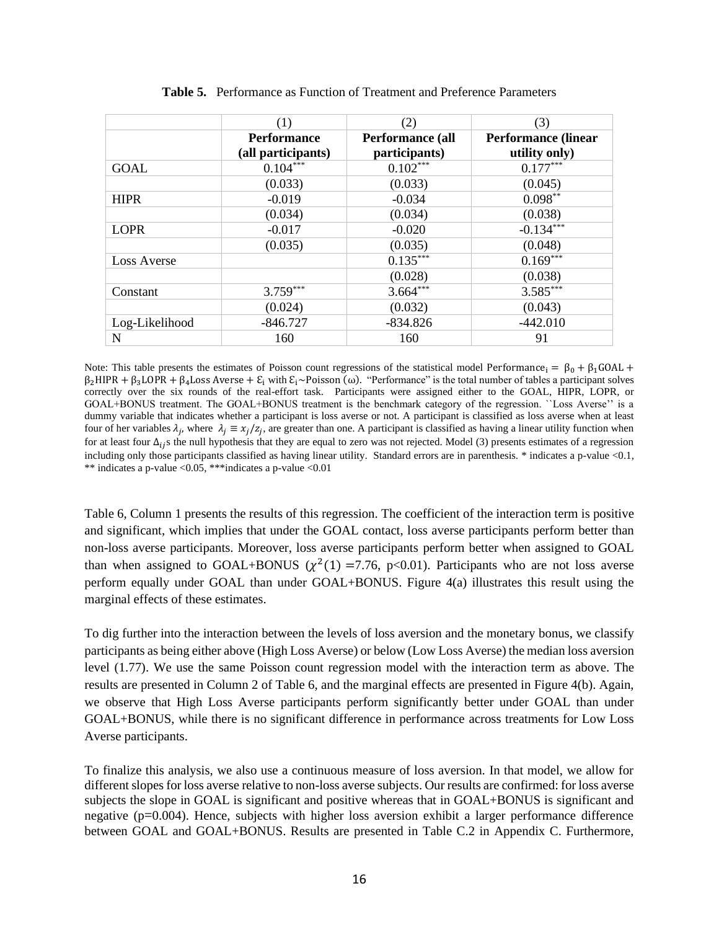|                    | (1)                | (2)              | (3)                        |
|--------------------|--------------------|------------------|----------------------------|
|                    | <b>Performance</b> | Performance (all | <b>Performance (linear</b> |
|                    | (all participants) | participants)    | utility only)              |
| <b>GOAL</b>        | $0.104***$         | $0.102***$       | $0.177***$                 |
|                    | (0.033)            | (0.033)          | (0.045)                    |
| <b>HIPR</b>        | $-0.019$           | $-0.034$         | $0.098**$                  |
|                    | (0.034)            | (0.034)          | (0.038)                    |
| <b>LOPR</b>        | $-0.017$           | $-0.020$         | $-0.134***$                |
|                    | (0.035)            | (0.035)          | (0.048)                    |
| <b>Loss Averse</b> |                    | $0.135***$       | $0.169***$                 |
|                    |                    | (0.028)          | (0.038)                    |
| Constant           | $3.759***$         | $3.664***$       | $3.585***$                 |
|                    | (0.024)            | (0.032)          | (0.043)                    |
| Log-Likelihood     | $-846.727$         | $-834.826$       | $-442.010$                 |
| N                  | 160                | 160              | 91                         |

**Table 5.** Performance as Function of Treatment and Preference Parameters

Note: This table presents the estimates of Poisson count regressions of the statistical model Performance<sub>i</sub> =  $\beta_0 + \beta_1 \text{GOAL}$  +  $\beta_2$ HIPR +  $\beta_3$ LOPR +  $\beta_4$ Loss Averse +  $\epsilon_i$  with  $\epsilon_i$ ~Poisson (ω). "Performance" is the total number of tables a participant solves correctly over the six rounds of the real-effort task. Participants were assigned either to the GOAL, HIPR, LOPR, or GOAL+BONUS treatment. The GOAL+BONUS treatment is the benchmark category of the regression. ``Loss Averse'' is a dummy variable that indicates whether a participant is loss averse or not. A participant is classified as loss averse when at least four of her variables  $\lambda_j$ , where  $\lambda_j \equiv x_j/z_j$ , are greater than one. A participant is classified as having a linear utility function when for at least four  $\Delta_{ij}$ s the null hypothesis that they are equal to zero was not rejected. Model (3) presents estimates of a regression including only those participants classified as having linear utility. Standard errors are in parenthesis. \* indicates a p-value <0.1, \*\* indicates a p-value <0.05, \*\*\*indicates a p-value <0.01

Table 6, Column 1 presents the results of this regression. The coefficient of the interaction term is positive and significant, which implies that under the GOAL contact, loss averse participants perform better than non-loss averse participants. Moreover, loss averse participants perform better when assigned to GOAL than when assigned to GOAL+BONUS ( $\chi^2(1)$  =7.76, p<0.01). Participants who are not loss averse perform equally under GOAL than under GOAL+BONUS. Figure 4(a) illustrates this result using the marginal effects of these estimates.

To dig further into the interaction between the levels of loss aversion and the monetary bonus, we classify participants as being either above (High Loss Averse) or below (Low Loss Averse) the median loss aversion level (1.77). We use the same Poisson count regression model with the interaction term as above. The results are presented in Column 2 of Table 6, and the marginal effects are presented in Figure 4(b). Again, we observe that High Loss Averse participants perform significantly better under GOAL than under GOAL+BONUS, while there is no significant difference in performance across treatments for Low Loss Averse participants.

To finalize this analysis, we also use a continuous measure of loss aversion. In that model, we allow for different slopes for loss averse relative to non-loss averse subjects. Our results are confirmed: for loss averse subjects the slope in GOAL is significant and positive whereas that in GOAL+BONUS is significant and negative (p=0.004). Hence, subjects with higher loss aversion exhibit a larger performance difference between GOAL and GOAL+BONUS. Results are presented in Table C.2 in Appendix C. Furthermore,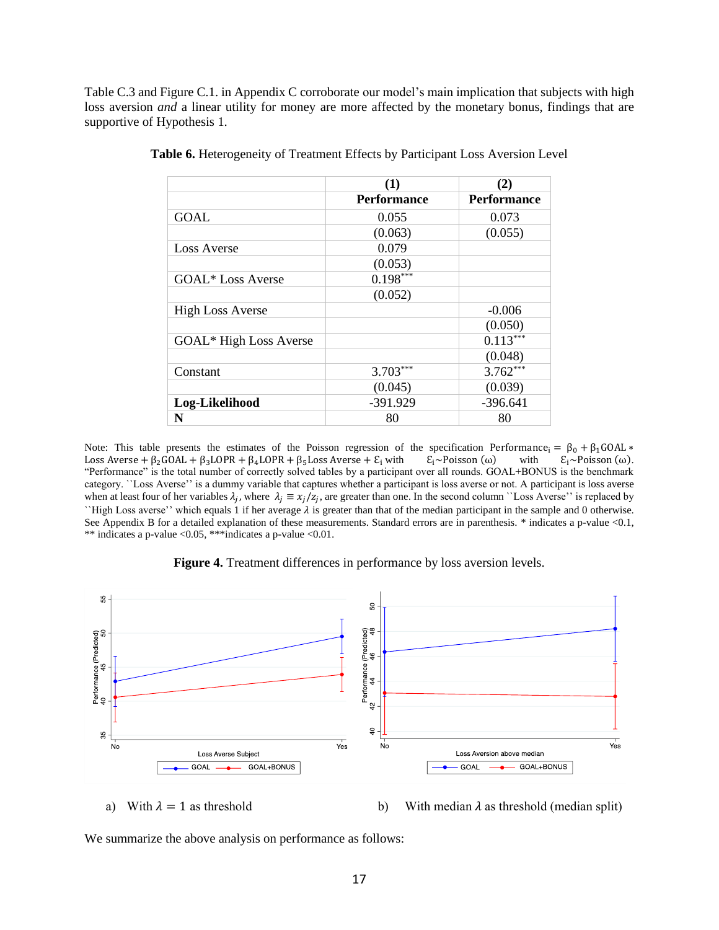Table C.3 and Figure C.1. in Appendix C corroborate our model's main implication that subjects with high loss aversion *and* a linear utility for money are more affected by the monetary bonus, findings that are supportive of Hypothesis 1.

|                         | (1)                | (2)                |
|-------------------------|--------------------|--------------------|
|                         | <b>Performance</b> | <b>Performance</b> |
| <b>GOAL</b>             | 0.055              | 0.073              |
|                         | (0.063)            | (0.055)            |
| <b>Loss Averse</b>      | 0.079              |                    |
|                         | (0.053)            |                    |
| GOAL* Loss Averse       | $0.198***$         |                    |
|                         | (0.052)            |                    |
| <b>High Loss Averse</b> |                    | $-0.006$           |
|                         |                    | (0.050)            |
| GOAL* High Loss Averse  |                    | $0.113***$         |
|                         |                    | (0.048)            |
| Constant                | $3.703***$         | $3.762***$         |
|                         | (0.045)            | (0.039)            |
| Log-Likelihood          | -391.929           | $-396.641$         |
| N                       | 80                 | 80                 |

**Table 6.** Heterogeneity of Treatment Effects by Participant Loss Aversion Level

Note: This table presents the estimates of the Poisson regression of the specification Performance<sub>i</sub> =  $\beta_0 + \beta_1 \text{GOAL} * \text{Loss}$  Averse +  $\beta_2 \text{GOAL} + \beta_3 \text{LOPR} + \beta_4 \text{LOPR} + \beta_5 \text{Loss}$  Averse +  $\varepsilon_i$  with  $\varepsilon_i \sim \text{Poisson}(\omega)$ Loss Averse +  $\beta_2$ GOAL +  $\beta_3$ LOPR +  $\beta_4$ LOPR +  $\beta_5$ Loss Averse +  $\mathcal{E}_i$  with "Performance" is the total number of correctly solved tables by a participant over all rounds. GOAL+BONUS is the benchmark category. ``Loss Averse'' is a dummy variable that captures whether a participant is loss averse or not. A participant is loss averse when at least four of her variables  $\lambda_j$ , where  $\lambda_j \equiv x_j/z_j$ , are greater than one. In the second column ``Loss Averse'' is replaced by "High Loss averse" which equals 1 if her average  $\lambda$  is greater than that of the median participant in the sample and 0 otherwise. See Appendix B for a detailed explanation of these measurements. Standard errors are in parenthesis. \* indicates a p-value <0.1, \*\* indicates a p-value <0.05, \*\*\*indicates a p-value <0.01.

**Figure 4.** Treatment differences in performance by loss aversion levels.



a) With  $\lambda = 1$  as threshold b) With median  $\lambda$  as threshold (median split)

We summarize the above analysis on performance as follows: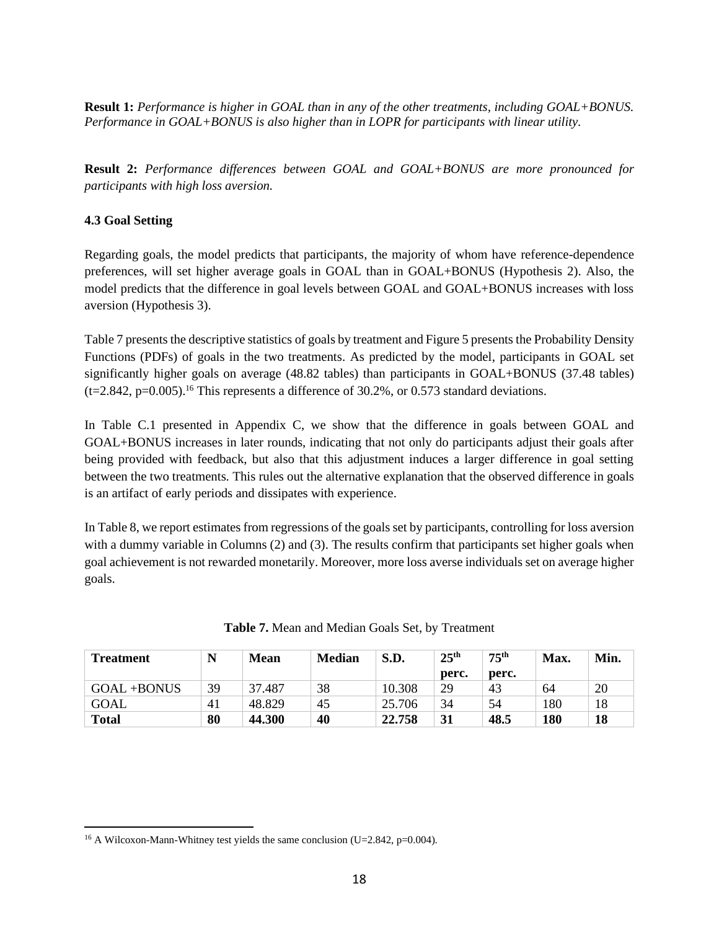**Result 1:** *Performance is higher in GOAL than in any of the other treatments, including GOAL+BONUS. Performance in GOAL+BONUS is also higher than in LOPR for participants with linear utility.* 

**Result 2:** *Performance differences between GOAL and GOAL+BONUS are more pronounced for participants with high loss aversion.* 

# **4.3 Goal Setting**

Regarding goals, the model predicts that participants, the majority of whom have reference-dependence preferences, will set higher average goals in GOAL than in GOAL+BONUS (Hypothesis 2). Also, the model predicts that the difference in goal levels between GOAL and GOAL+BONUS increases with loss aversion (Hypothesis 3).

Table 7 presents the descriptive statistics of goals by treatment and Figure 5 presents the Probability Density Functions (PDFs) of goals in the two treatments. As predicted by the model, participants in GOAL set significantly higher goals on average (48.82 tables) than participants in GOAL+BONUS (37.48 tables)  $(t=2.842, p=0.005).$ <sup>16</sup> This represents a difference of 30.2%, or 0.573 standard deviations.

In Table C.1 presented in Appendix C, we show that the difference in goals between GOAL and GOAL+BONUS increases in later rounds, indicating that not only do participants adjust their goals after being provided with feedback, but also that this adjustment induces a larger difference in goal setting between the two treatments. This rules out the alternative explanation that the observed difference in goals is an artifact of early periods and dissipates with experience.

In Table 8, we report estimates from regressions of the goals set by participants, controlling for loss aversion with a dummy variable in Columns (2) and (3). The results confirm that participants set higher goals when goal achievement is not rewarded monetarily. Moreover, more loss averse individuals set on average higher goals.

| <b>Treatment</b> |    | Mean        | <b>Median</b> | S.D.   | 25 <sup>th</sup> | 75 <sup>th</sup> | Max. | Min. |
|------------------|----|-------------|---------------|--------|------------------|------------------|------|------|
|                  |    |             |               |        | perc.            | perc.            |      |      |
| $GOAL + BONUS$   | 39 | 37.<br>.487 | 38            | 10.308 | 29               | 43               | 64   | 20   |
| GOAL             | 41 | 48.829      | 45            | 25.706 | 34               | 54               | 180  | 18   |
| <b>Total</b>     | 80 | 44.300      | 40            | 22.758 | 31               | 48.5             | 180  | 18   |

**Table 7.** Mean and Median Goals Set, by Treatment

<sup>&</sup>lt;sup>16</sup> A Wilcoxon-Mann-Whitney test yields the same conclusion (U=2.842, p=0.004).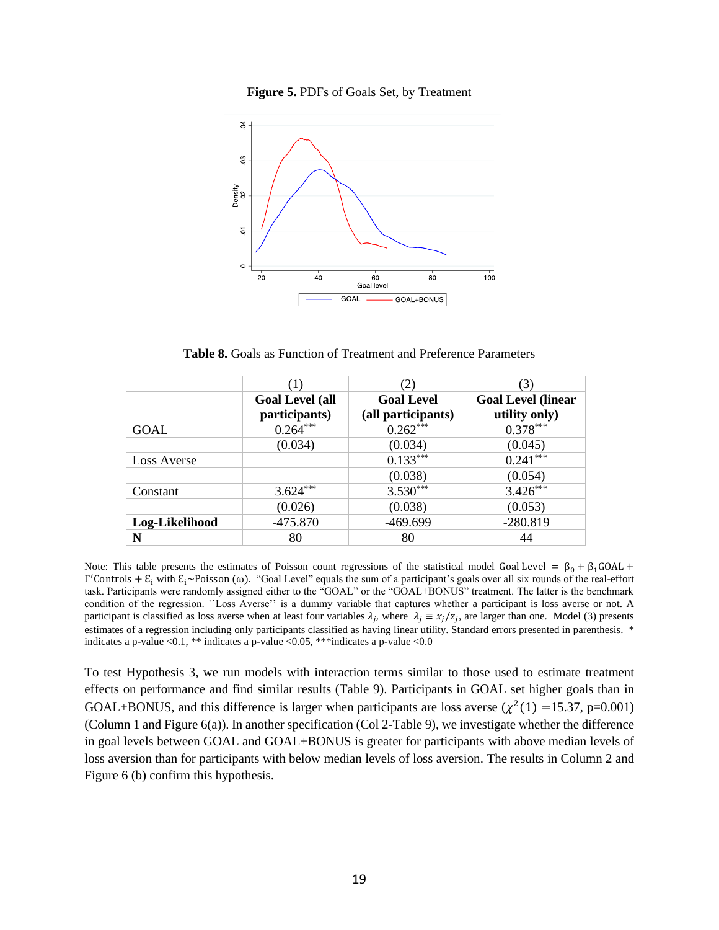



**Table 8.** Goals as Function of Treatment and Preference Parameters

|                | (1)                                     | (2)                                     | (3)                                        |
|----------------|-----------------------------------------|-----------------------------------------|--------------------------------------------|
|                | <b>Goal Level (all</b><br>participants) | <b>Goal Level</b><br>(all participants) | <b>Goal Level (linear</b><br>utility only) |
| GOAL           | $0.264***$                              | $0.262***$                              | $0.378***$                                 |
|                | (0.034)                                 | (0.034)                                 | (0.045)                                    |
| Loss Averse    |                                         | $0.133***$                              | $0.241***$                                 |
|                |                                         | (0.038)                                 | (0.054)                                    |
| Constant       | $3.624***$                              | $3.530***$                              | $3.426***$                                 |
|                | (0.026)                                 | (0.038)                                 | (0.053)                                    |
| Log-Likelihood | $-475.870$                              | -469.699                                | $-280.819$                                 |
| N              | 80                                      | 80                                      | 44                                         |

Note: This table presents the estimates of Poisson count regressions of the statistical model Goal Level =  $\beta_0 + \beta_1 \text{GOAL}$  +  $Γ'$ Controls +  $E_i$  with  $E_i$ ~Poisson (ω). "Goal Level" equals the sum of a participant's goals over all six rounds of the real-effort task. Participants were randomly assigned either to the "GOAL" or the "GOAL+BONUS" treatment. The latter is the benchmark condition of the regression. ``Loss Averse'' is a dummy variable that captures whether a participant is loss averse or not. A participant is classified as loss averse when at least four variables  $\lambda_j$ , where  $\lambda_j \equiv x_j/z_j$ , are larger than one. Model (3) presents estimates of a regression including only participants classified as having linear utility. Standard errors presented in parenthesis. \* indicates a p-value <0.1, \*\* indicates a p-value <0.05, \*\*\*indicates a p-value <0.0

To test Hypothesis 3, we run models with interaction terms similar to those used to estimate treatment effects on performance and find similar results (Table 9). Participants in GOAL set higher goals than in GOAL+BONUS, and this difference is larger when participants are loss averse  $(\chi^2(1) = 15.37, p=0.001)$ (Column 1 and Figure 6(a)). In another specification (Col 2-Table 9), we investigate whether the difference in goal levels between GOAL and GOAL+BONUS is greater for participants with above median levels of loss aversion than for participants with below median levels of loss aversion. The results in Column 2 and Figure 6 (b) confirm this hypothesis.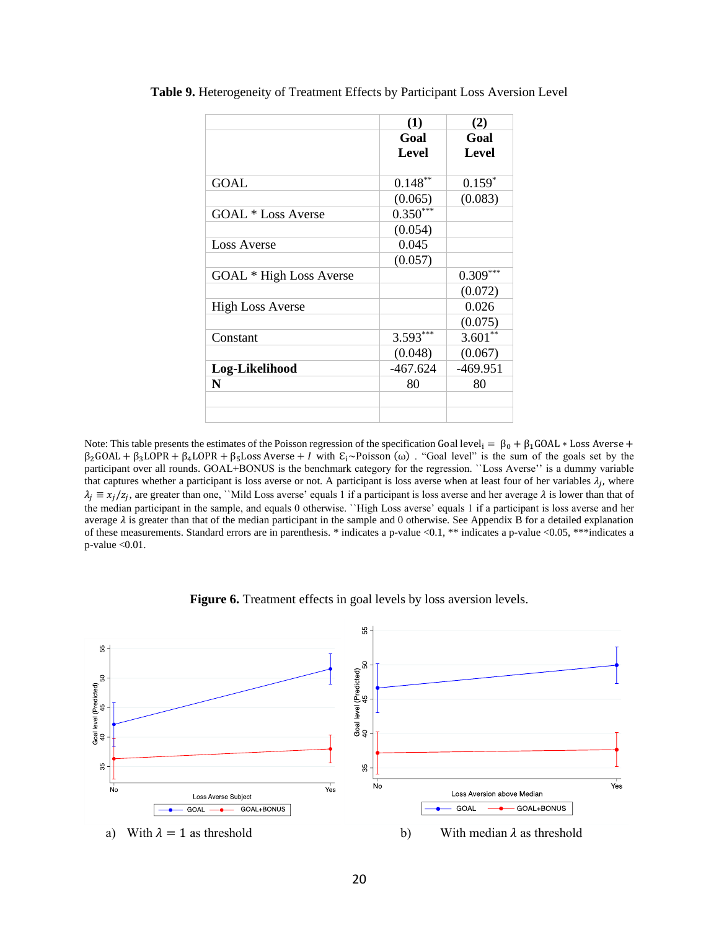|                           | (1)        | (2)        |
|---------------------------|------------|------------|
|                           | Goal       | Goal       |
|                           | Level      | Level      |
|                           |            |            |
| GOAL                      | $0.148**$  | $0.159*$   |
|                           | (0.065)    | (0.083)    |
| <b>GOAL</b> * Loss Averse | $0.350***$ |            |
|                           | (0.054)    |            |
| <b>Loss Averse</b>        | 0.045      |            |
|                           | (0.057)    |            |
| GOAL * High Loss Averse   |            | $0.309***$ |
|                           |            | (0.072)    |
| <b>High Loss Averse</b>   |            | 0.026      |
|                           |            | (0.075)    |
| Constant                  | 3.593***   | $3.601**$  |
|                           | (0.048)    | (0.067)    |
| Log-Likelihood            | $-467.624$ | $-469.951$ |
| N                         | 80         | 80         |
|                           |            |            |
|                           |            |            |

**Table 9.** Heterogeneity of Treatment Effects by Participant Loss Aversion Level

Note: This table presents the estimates of the Poisson regression of the specification Goal level<sub>i</sub> =  $\beta_0 + \beta_1 \text{GOAL} * \text{Loss}$  Averse +  $\beta_2$ GOAL +  $\beta_3$ LOPR +  $\beta_4$ LOPR +  $\beta_5$ Loss Averse + *I* with  $\epsilon_1 \sim$  Poisson (ω). "Goal level" is the sum of the goals set by the participant over all rounds. GOAL+BONUS is the benchmark category for the regression. ``Loss Averse'' is a dummy variable that captures whether a participant is loss averse or not. A participant is loss averse when at least four of her variables  $\lambda_j$ , where  $\lambda_j \equiv x_j/z_j$ , are greater than one, ``Mild Loss averse' equals 1 if a participant is loss averse and her average  $\lambda$  is lower than that of the median participant in the sample, and equals 0 otherwise. ``High Loss averse' equals 1 if a participant is loss averse and her average  $\lambda$  is greater than that of the median participant in the sample and 0 otherwise. See Appendix B for a detailed explanation of these measurements. Standard errors are in parenthesis. \* indicates a p-value <0.1, \*\* indicates a p-value <0.05, \*\*\*indicates a p-value <0.01.

Figure 6. Treatment effects in goal levels by loss aversion levels.

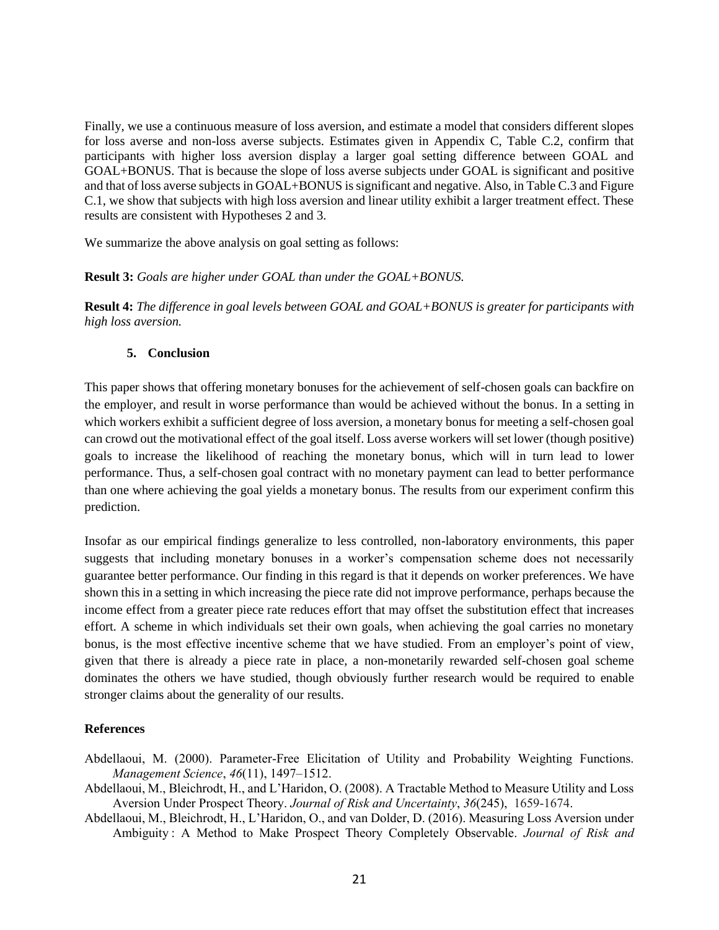Finally, we use a continuous measure of loss aversion, and estimate a model that considers different slopes for loss averse and non-loss averse subjects. Estimates given in Appendix C, Table C.2, confirm that participants with higher loss aversion display a larger goal setting difference between GOAL and GOAL+BONUS. That is because the slope of loss averse subjects under GOAL is significant and positive and that of loss averse subjects in GOAL+BONUS is significant and negative. Also, in Table C.3 and Figure C.1, we show that subjects with high loss aversion and linear utility exhibit a larger treatment effect. These results are consistent with Hypotheses 2 and 3.

We summarize the above analysis on goal setting as follows:

## **Result 3:** *Goals are higher under GOAL than under the GOAL+BONUS.*

**Result 4:** *The difference in goal levels between GOAL and GOAL+BONUS is greater for participants with high loss aversion.*

## **5. Conclusion**

This paper shows that offering monetary bonuses for the achievement of self-chosen goals can backfire on the employer, and result in worse performance than would be achieved without the bonus. In a setting in which workers exhibit a sufficient degree of loss aversion, a monetary bonus for meeting a self-chosen goal can crowd out the motivational effect of the goal itself. Loss averse workers will set lower (though positive) goals to increase the likelihood of reaching the monetary bonus, which will in turn lead to lower performance. Thus, a self-chosen goal contract with no monetary payment can lead to better performance than one where achieving the goal yields a monetary bonus. The results from our experiment confirm this prediction.

Insofar as our empirical findings generalize to less controlled, non-laboratory environments, this paper suggests that including monetary bonuses in a worker's compensation scheme does not necessarily guarantee better performance. Our finding in this regard is that it depends on worker preferences. We have shown this in a setting in which increasing the piece rate did not improve performance, perhaps because the income effect from a greater piece rate reduces effort that may offset the substitution effect that increases effort. A scheme in which individuals set their own goals, when achieving the goal carries no monetary bonus, is the most effective incentive scheme that we have studied. From an employer's point of view, given that there is already a piece rate in place, a non-monetarily rewarded self-chosen goal scheme dominates the others we have studied, though obviously further research would be required to enable stronger claims about the generality of our results.

# **References**

- Abdellaoui, M. (2000). Parameter-Free Elicitation of Utility and Probability Weighting Functions. *Management Science*, *46*(11), 1497–1512.
- Abdellaoui, M., Bleichrodt, H., and L'Haridon, O. (2008). A Tractable Method to Measure Utility and Loss Aversion Under Prospect Theory. *Journal of Risk and Uncertainty*, *36*(245), 1659-1674.
- Abdellaoui, M., Bleichrodt, H., L'Haridon, O., and van Dolder, D. (2016). Measuring Loss Aversion under Ambiguity : A Method to Make Prospect Theory Completely Observable. *Journal of Risk and*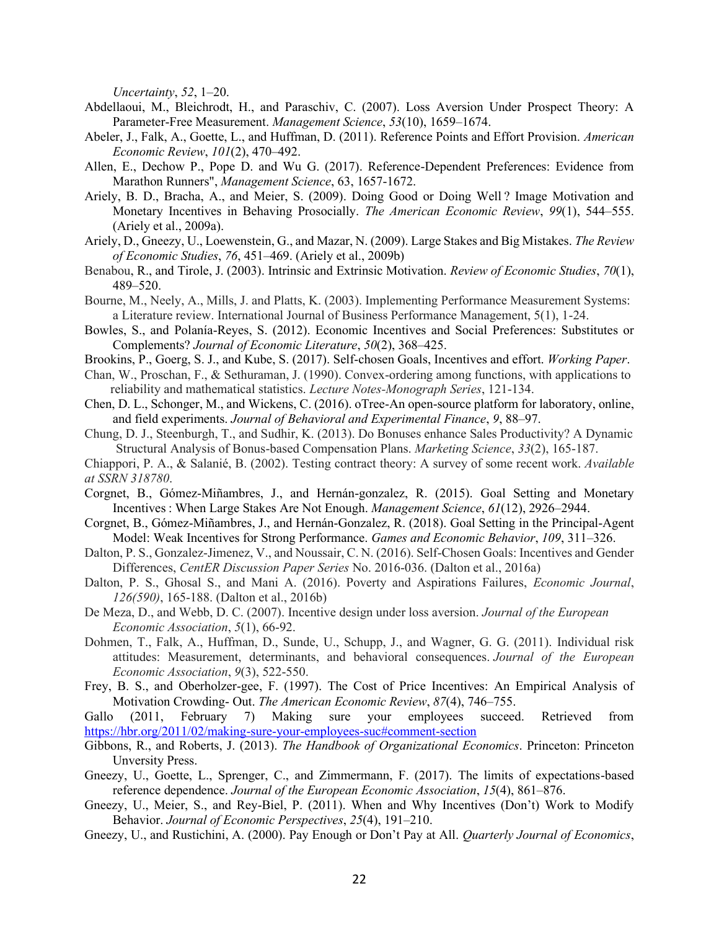*Uncertainty*, *52*, 1–20.

- Abdellaoui, M., Bleichrodt, H., and Paraschiv, C. (2007). Loss Aversion Under Prospect Theory: A Parameter-Free Measurement. *Management Science*, *53*(10), 1659–1674.
- Abeler, J., Falk, A., Goette, L., and Huffman, D. (2011). Reference Points and Effort Provision. *American Economic Review*, *101*(2), 470–492.
- Allen, E., Dechow P., Pope D. and Wu G. (2017). Reference-Dependent Preferences: Evidence from Marathon Runners", *Management Science*, 63, 1657-1672.
- Ariely, B. D., Bracha, A., and Meier, S. (2009). Doing Good or Doing Well ? Image Motivation and Monetary Incentives in Behaving Prosocially. *The American Economic Review*, *99*(1), 544–555. (Ariely et al., 2009a).
- Ariely, D., Gneezy, U., Loewenstein, G., and Mazar, N. (2009). Large Stakes and Big Mistakes. *The Review of Economic Studies*, *76*, 451–469. (Ariely et al., 2009b)
- Benabou, R., and Tirole, J. (2003). Intrinsic and Extrinsic Motivation. *Review of Economic Studies*, *70*(1), 489–520.
- Bourne, M., Neely, A., Mills, J. and Platts, K. (2003). Implementing Performance Measurement Systems: a Literature review. International Journal of Business Performance Management, 5(1), 1-24.
- Bowles, S., and Polanía-Reyes, S. (2012). Economic Incentives and Social Preferences: Substitutes or Complements? *Journal of Economic Literature*, *50*(2), 368–425.
- Brookins, P., Goerg, S. J., and Kube, S. (2017). Self-chosen Goals, Incentives and effort. *Working Paper*.
- Chan, W., Proschan, F., & Sethuraman, J. (1990). Convex-ordering among functions, with applications to reliability and mathematical statistics. *Lecture Notes-Monograph Series*, 121-134.
- Chen, D. L., Schonger, M., and Wickens, C. (2016). oTree-An open-source platform for laboratory, online, and field experiments. *Journal of Behavioral and Experimental Finance*, *9*, 88–97.
- Chung, D. J., Steenburgh, T., and Sudhir, K. (2013). Do Bonuses enhance Sales Productivity? A Dynamic Structural Analysis of Bonus-based Compensation Plans. *Marketing Science*, *33*(2), 165-187.
- Chiappori, P. A., & Salanié, B. (2002). Testing contract theory: A survey of some recent work. *Available at SSRN 318780*.
- Corgnet, B., Gómez-Miñambres, J., and Hernán-gonzalez, R. (2015). Goal Setting and Monetary Incentives : When Large Stakes Are Not Enough. *Management Science*, *61*(12), 2926–2944.
- Corgnet, B., Gómez-Miñambres, J., and Hernán-Gonzalez, R. (2018). Goal Setting in the Principal-Agent Model: Weak Incentives for Strong Performance. *Games and Economic Behavior*, *109*, 311–326.
- Dalton, P. S., Gonzalez-Jimenez, V., and Noussair, C. N. (2016). Self-Chosen Goals: Incentives and Gender Differences, *CentER Discussion Paper Series* No. 2016-036. (Dalton et al., 2016a)
- Dalton, P. S., Ghosal S., and Mani A. (2016). Poverty and Aspirations Failures, *Economic Journal*, *126(590)*, 165-188. (Dalton et al., 2016b)
- De Meza, D., and Webb, D. C. (2007). Incentive design under loss aversion. *Journal of the European Economic Association*, *5*(1), 66-92.
- Dohmen, T., Falk, A., Huffman, D., Sunde, U., Schupp, J., and Wagner, G. G. (2011). Individual risk attitudes: Measurement, determinants, and behavioral consequences. *Journal of the European Economic Association*, *9*(3), 522-550.
- Frey, B. S., and Oberholzer-gee, F. (1997). The Cost of Price Incentives: An Empirical Analysis of Motivation Crowding- Out. *The American Economic Review*, *87*(4), 746–755.

Gallo (2011, February 7) Making sure your employees succeed. Retrieved from <https://hbr.org/2011/02/making-sure-your-employees-suc#comment-section>

- Gibbons, R., and Roberts, J. (2013). *The Handbook of Organizational Economics*. Princeton: Princeton Unversity Press.
- Gneezy, U., Goette, L., Sprenger, C., and Zimmermann, F. (2017). The limits of expectations-based reference dependence. *Journal of the European Economic Association*, *15*(4), 861–876.
- Gneezy, U., Meier, S., and Rey-Biel, P. (2011). When and Why Incentives (Don't) Work to Modify Behavior. *Journal of Economic Perspectives*, *25*(4), 191–210.
- Gneezy, U., and Rustichini, A. (2000). Pay Enough or Don't Pay at All. *Quarterly Journal of Economics*,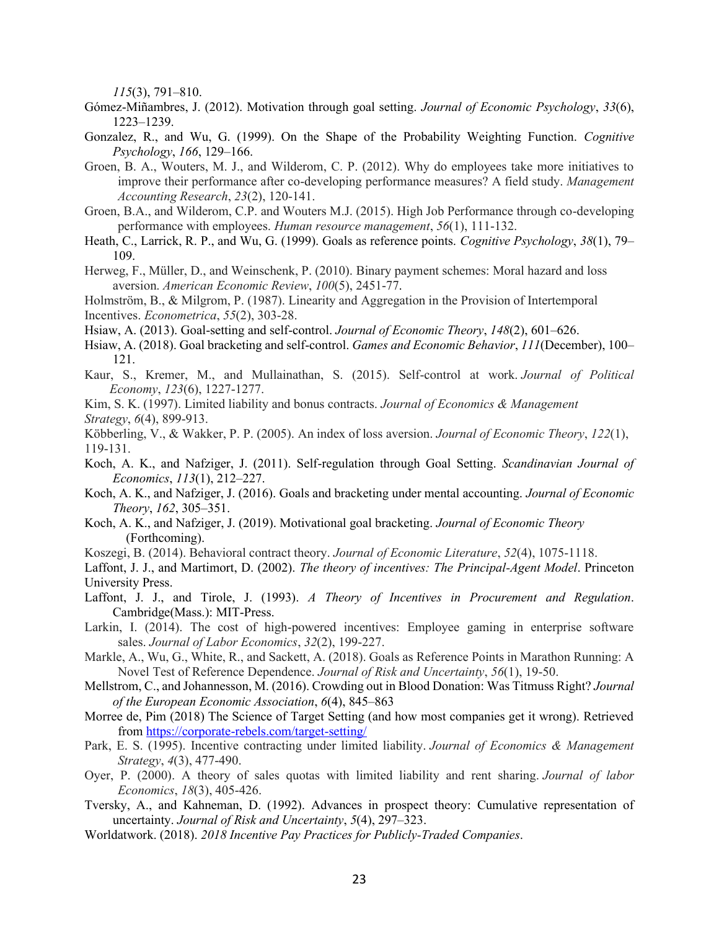*115*(3), 791–810.

- Gómez-Miñambres, J. (2012). Motivation through goal setting. *Journal of Economic Psychology*, *33*(6), 1223–1239.
- Gonzalez, R., and Wu, G. (1999). On the Shape of the Probability Weighting Function. *Cognitive Psychology*, *166*, 129–166.
- Groen, B. A., Wouters, M. J., and Wilderom, C. P. (2012). Why do employees take more initiatives to improve their performance after co-developing performance measures? A field study. *Management Accounting Research*, *23*(2), 120-141.
- Groen, B.A., and Wilderom, C.P. and Wouters M.J. (2015). High Job Performance through co-developing performance with employees. *Human resource management*, *56*(1), 111-132.
- Heath, C., Larrick, R. P., and Wu, G. (1999). Goals as reference points. *Cognitive Psychology*, *38*(1), 79– 109.
- Herweg, F., Müller, D., and Weinschenk, P. (2010). Binary payment schemes: Moral hazard and loss aversion. *American Economic Review*, *100*(5), 2451-77.
- Holmström, B., & Milgrom, P. (1987). Linearity and Aggregation in the Provision of Intertemporal Incentives. *Econometrica*, *55*(2), 303-28.
- Hsiaw, A. (2013). Goal-setting and self-control. *Journal of Economic Theory*, *148*(2), 601–626.
- Hsiaw, A. (2018). Goal bracketing and self-control. *Games and Economic Behavior*, *111*(December), 100– 121.
- Kaur, S., Kremer, M., and Mullainathan, S. (2015). Self-control at work. *Journal of Political Economy*, *123*(6), 1227-1277.
- Kim, S. K. (1997). Limited liability and bonus contracts. *Journal of Economics & Management Strategy*, *6*(4), 899-913.
- Köbberling, V., & Wakker, P. P. (2005). An index of loss aversion. *Journal of Economic Theory*, *122*(1), 119-131.
- Koch, A. K., and Nafziger, J. (2011). Self-regulation through Goal Setting. *Scandinavian Journal of Economics*, *113*(1), 212–227.
- Koch, A. K., and Nafziger, J. (2016). Goals and bracketing under mental accounting. *Journal of Economic Theory*, *162*, 305–351.
- Koch, A. K., and Nafziger, J. (2019). Motivational goal bracketing. *Journal of Economic Theory* (Forthcoming).
- Koszegi, B. (2014). Behavioral contract theory. *Journal of Economic Literature*, *52*(4), 1075-1118.
- Laffont, J. J., and Martimort, D. (2002). *The theory of incentives: The Principal-Agent Model*. Princeton University Press.
- Laffont, J. J., and Tirole, J. (1993). *A Theory of Incentives in Procurement and Regulation*. Cambridge(Mass.): MIT-Press.
- Larkin, I. (2014). The cost of high-powered incentives: Employee gaming in enterprise software sales. *Journal of Labor Economics*, *32*(2), 199-227.
- Markle, A., Wu, G., White, R., and Sackett, A. (2018). Goals as Reference Points in Marathon Running: A Novel Test of Reference Dependence. *Journal of Risk and Uncertainty*, *56*(1), 19-50.
- Mellstrom, C., and Johannesson, M. (2016). Crowding out in Blood Donation: Was Titmuss Right? *Journal of the European Economic Association*, *6*(4), 845–863
- Morree de, Pim (2018) The Science of Target Setting (and how most companies get it wrong). Retrieved from<https://corporate-rebels.com/target-setting/>
- Park, E. S. (1995). Incentive contracting under limited liability. *Journal of Economics & Management Strategy*, *4*(3), 477-490.
- Oyer, P. (2000). A theory of sales quotas with limited liability and rent sharing. *Journal of labor Economics*, *18*(3), 405-426.
- Tversky, A., and Kahneman, D. (1992). Advances in prospect theory: Cumulative representation of uncertainty. *Journal of Risk and Uncertainty*, *5*(4), 297–323.
- Worldatwork. (2018). *2018 Incentive Pay Practices for Publicly-Traded Companies*.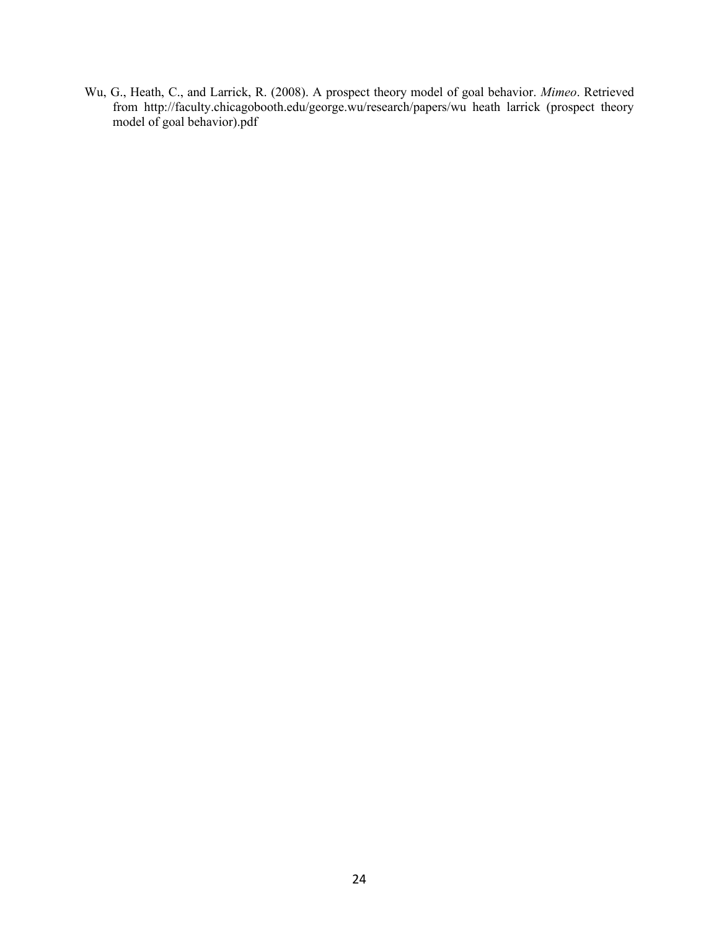Wu, G., Heath, C., and Larrick, R. (2008). A prospect theory model of goal behavior. *Mimeo*. Retrieved from http://faculty.chicagobooth.edu/george.wu/research/papers/wu heath larrick (prospect theory model of goal behavior).pdf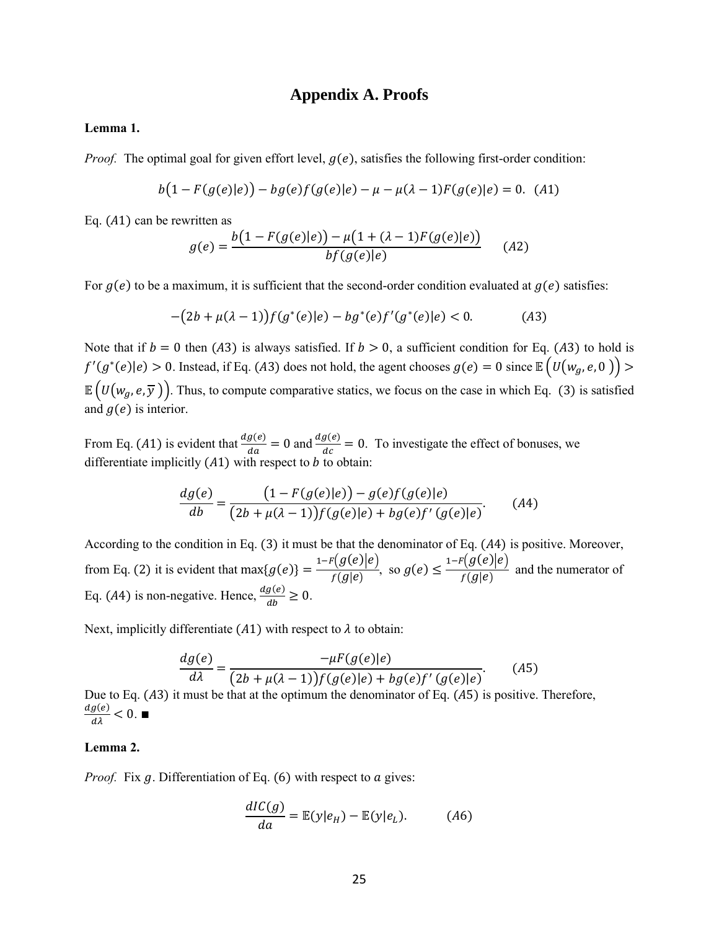# **Appendix A. Proofs**

#### **Lemma 1.**

*Proof.* The optimal goal for given effort level,  $g(e)$ , satisfies the following first-order condition:

$$
b(1 - F(g(e)|e)) - bg(e)f(g(e)|e) - \mu - \mu(\lambda - 1)F(g(e)|e) = 0.
$$
 (A1)

Eq.  $(A1)$  can be rewritten as

$$
g(e) = \frac{b(1 - F(g(e)|e)) - \mu(1 + (\lambda - 1)F(g(e)|e))}{bf(g(e)|e)}
$$
(A2)

For  $g(e)$  to be a maximum, it is sufficient that the second-order condition evaluated at  $g(e)$  satisfies:

$$
-(2b + \mu(\lambda - 1))f(g^*(e)|e) - bg^*(e)f'(g^*(e)|e) < 0.
$$
 (A3)

Note that if  $b = 0$  then (A3) is always satisfied. If  $b > 0$ , a sufficient condition for Eq. (A3) to hold is  $f'(g^*(e)|e) > 0$ . Instead, if Eq. (A3) does not hold, the agent chooses  $g(e) = 0$  since  $\mathbb{E}\left(U(w_g, e, 0)\right) > 0$  $\mathbb{E}\left(U(w_g, e, \overline{y})\right)$ . Thus, to compute comparative statics, we focus on the case in which Eq. (3) is satisfied and  $g(e)$  is interior.

From Eq. (A1) is evident that  $\frac{dg(e)}{da} = 0$  and  $\frac{dg(e)}{dc} = 0$ . To investigate the effect of bonuses, we differentiate implicitly  $(A1)$  with respect to  $b$  to obtain:

$$
\frac{dg(e)}{db} = \frac{(1 - F(g(e)|e)) - g(e)f(g(e)|e)}{(2b + \mu(\lambda - 1))f(g(e)|e) + bg(e)f'(g(e)|e)}.
$$
 (A4)

According to the condition in Eq.  $(3)$  it must be that the denominator of Eq.  $(A4)$  is positive. Moreover, from Eq. (2) it is evident that max ${g(e)}$  = 1− $F(g(e)|e)$  $\frac{(g(c))^{1}}{f(g|e)}, \text{ so } g(e) \leq$  $_{1-F}(g(e)|e)$  $\frac{g(c) |c|}{f(g|e)}$  and the numerator of Eq. (A4) is non-negative. Hence,  $\frac{dg(e)}{db} \ge 0$ .

Next, implicitly differentiate (A1) with respect to  $\lambda$  to obtain:

$$
\frac{dg(e)}{d\lambda} = \frac{-\mu F(g(e)|e)}{(2b + \mu(\lambda - 1))f(g(e)|e) + bg(e)f'(g(e)|e)}.
$$
 (A5)

Due to Eq.  $(A3)$  it must be that at the optimum the denominator of Eq.  $(A5)$  is positive. Therefore,  $\frac{dg(e)}{d\lambda}$  < 0. ■

#### **Lemma 2.**

*Proof.* Fix *g*. Differentiation of Eq. (6) with respect to *a* gives:

$$
\frac{dIC(g)}{da} = \mathbb{E}(y|e_H) - \mathbb{E}(y|e_L). \tag{A6}
$$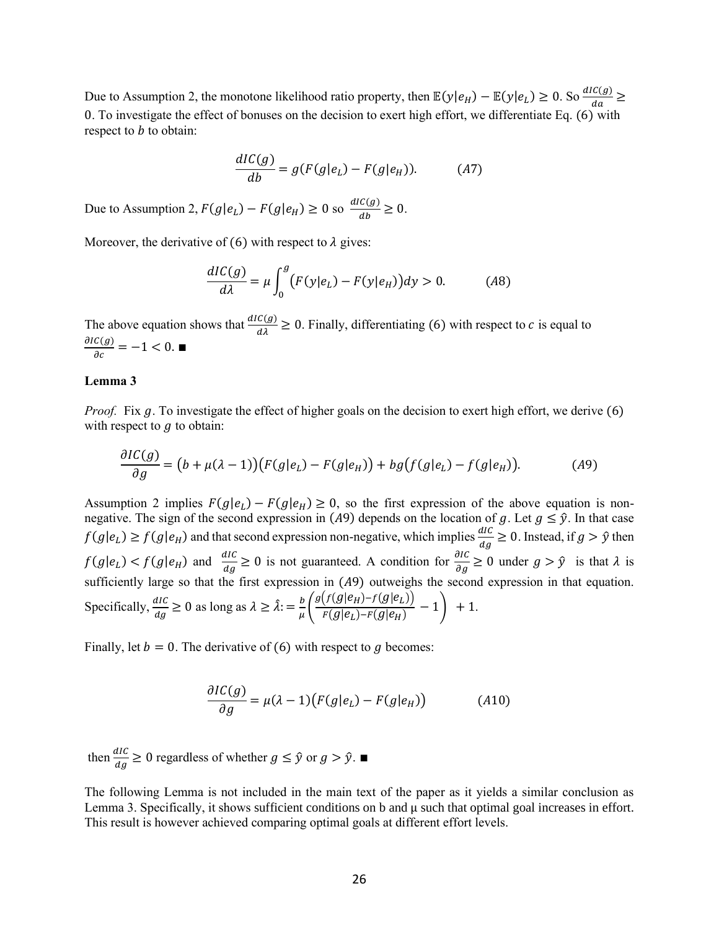Due to Assumption 2, the monotone likelihood ratio property, then  $\mathbb{E}(y|e_H) - \mathbb{E}(y|e_L) \ge 0$ . So  $\frac{dIC(g)}{da} \ge$ 0. To investigate the effect of bonuses on the decision to exert high effort, we differentiate Eq. (6) with respect to  $b$  to obtain:

$$
\frac{dIC(g)}{db} = g(F(g|e_L) - F(g|e_H)).\tag{A7}
$$

Due to Assumption 2,  $F(g|e_L) - F(g|e_H) \ge 0$  so  $\frac{dI(C(g))}{dh}$  $\frac{c(y)}{db} \geq 0.$ 

Moreover, the derivative of (6) with respect to  $\lambda$  gives:

$$
\frac{dIC(g)}{d\lambda} = \mu \int_0^g \bigl( F(y|e_L) - F(y|e_H) \bigr) dy > 0. \tag{A8}
$$

The above equation shows that  $\frac{dI C(g)}{d\lambda} \ge 0$ . Finally, differentiating (6) with respect to c is equal to  $\frac{\partial IC(g)}{\partial c} = -1 < 0.$ 

#### **Lemma 3**

*Proof.* Fix g. To investigate the effect of higher goals on the decision to exert high effort, we derive (6) with respect to  $q$  to obtain:

$$
\frac{\partial IC(g)}{\partial g} = (b + \mu(\lambda - 1))(F(g|e_L) - F(g|e_H)) + bg(f(g|e_L) - f(g|e_H)).\tag{A9}
$$

Assumption 2 implies  $F(g|e_L) - F(g|e_H) \ge 0$ , so the first expression of the above equation is nonnegative. The sign of the second expression in (A9) depends on the location of g. Let  $g \le \hat{y}$ . In that case  $f(g|e_L) \ge f(g|e_H)$  and that second expression non-negative, which implies  $\frac{dI}{dg} \ge 0$ . Instead, if  $g > \hat{y}$  then  $f(g|e_L) < f(g|e_H)$  and  $\frac{dI}{dg} \ge 0$  is not guaranteed. A condition for  $\frac{\partial I}{\partial g} \ge 0$  under  $g > \hat{y}$  is that  $\lambda$  is sufficiently large so that the first expression in  $(A9)$  outweighs the second expression in that equation. Specifically,  $\frac{dIC}{dg} \ge 0$  as long as  $\lambda \ge \hat{\lambda}$ :  $= \frac{b}{\mu}$  $\frac{b}{\mu}\bigg(\frac{g(f(g|e_H)-f(g|e_L))}{F(g|e_L)-F(g|e_H)}\bigg)$  $\frac{F(g|e_L) - F(g|e_H)}{F(g|e_L) - F(g|e_H)} - 1 + 1.$ 

Finally, let  $b = 0$ . The derivative of (6) with respect to g becomes:

$$
\frac{\partial IC(g)}{\partial g} = \mu(\lambda - 1)\big(F(g|e_L) - F(g|e_H)\big) \tag{A10}
$$

then  $\frac{dI}{dg} \ge 0$  regardless of whether  $g \le \hat{y}$  or  $g > \hat{y}$ .

The following Lemma is not included in the main text of the paper as it yields a similar conclusion as Lemma 3. Specifically, it shows sufficient conditions on b and μ such that optimal goal increases in effort. This result is however achieved comparing optimal goals at different effort levels.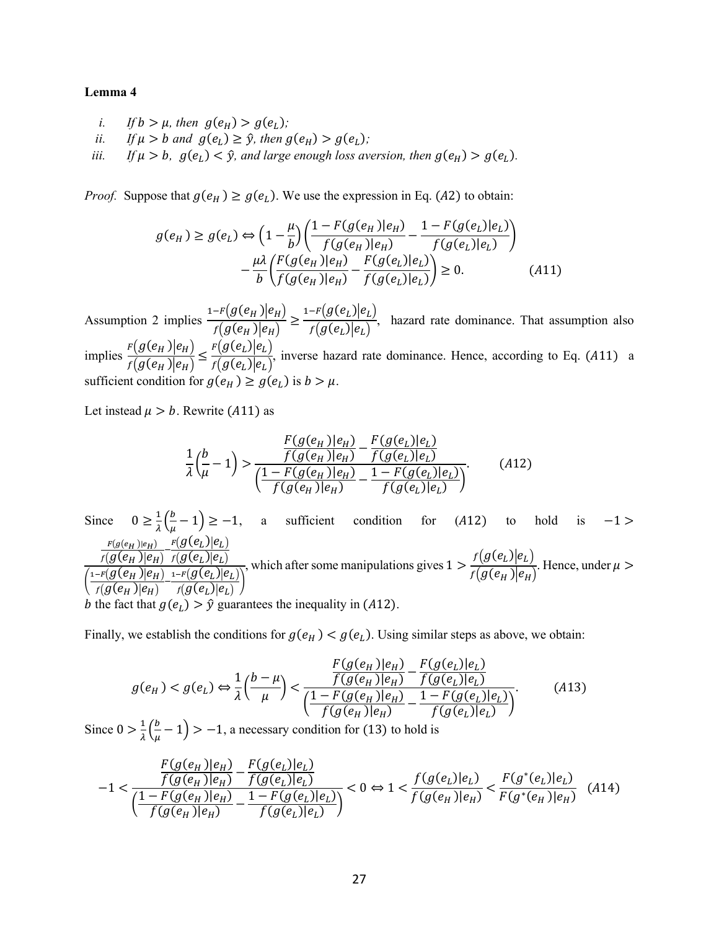#### **Lemma 4**

- *i. If*  $b > \mu$ , then  $g(e_H) > g(e_L)$ ;
- *ii. If*  $\mu > b$  and  $g(e_L) \ge \hat{y}$ , then  $g(e_H) > g(e_L)$ ;
- *iii.* If  $\mu > b$ ,  $g(e_L) < \hat{y}$ , and large enough loss aversion, then  $g(e_H) > g(e_L)$ .

*Proof.* Suppose that  $g(e_H) \geq g(e_L)$ . We use the expression in Eq. (A2) to obtain:

$$
g(e_H) \ge g(e_L) \Leftrightarrow \left(1 - \frac{\mu}{b}\right) \left(\frac{1 - F(g(e_H)|e_H)}{f(g(e_H)|e_H)} - \frac{1 - F(g(e_L)|e_L)}{f(g(e_L)|e_L)}\right) - \frac{\mu \lambda}{b} \left(\frac{F(g(e_H)|e_H)}{f(g(e_H)|e_H)} - \frac{F(g(e_L)|e_L)}{f(g(e_L)|e_L)}\right) \ge 0.
$$
 (A11)

Assumption 2 implies  $\frac{1-F(g(e_H))|e_H}{f(g(e_H))|e_H}$  $\frac{-r(g(e_H)|e_H)}{f(g(e_H)|e_H)} \geq \frac{1-r(g(e_L)|e_L)}{f(g(e_L)|e_L)}$  $\frac{(\partial (e_L)|e_L)}{f(g(e_L)|e_L)}$ , hazard rate dominance. That assumption also implies  $\frac{F(g(e_H)|e_H)}{f(g(e_H))}$  $\frac{F(g(e_H) | e_H)}{f(g(e_H) | e_H)} \leq \frac{F(g(e_L) | e_L)}{f(g(e_L) | e_L)}$  $\frac{(\mathcal{G}(\mathcal{L})|\mathcal{L})}{f(g(e_L)|e_L)}$ , inverse hazard rate dominance. Hence, according to Eq. (A11) a sufficient condition for  $g(e_H) \ge g(e_L)$  is  $b > \mu$ .

Let instead  $\mu > b$ . Rewrite (A11) as

$$
\frac{1}{\lambda} \left( \frac{b}{\mu} - 1 \right) > \frac{\frac{F(g(e_H) | e_H)}{f(g(e_H) | e_H)} - \frac{F(g(e_L) | e_L)}{f(g(e_L) | e_L)}}{\left( \frac{1 - F(g(e_H) | e_H)}{f(g(e_H) | e_H)} - \frac{1 - F(g(e_L) | e_L)}{f(g(e_L) | e_L)} \right)}.
$$
(A12)

Since  $0 \ge \frac{1}{2}$  $\frac{1}{\lambda} \Big( \frac{b}{\mu}$  $(\frac{\nu}{\mu}-1) \geq -1$ , a sufficient condition for (A12) to hold is -1 >  $\frac{F(g(e_H))|e_H)}{f(g(e_H))|e_H)}-\frac{F(g(e_L)|e_L)}{f(g(e_L)|e_L)}$ )  $_{f}(\overline{g(e_{L})|e_{L}})$  $\left( \frac{1-F(g(e_H))|e_H}{(g(e_H))|e_H} \right)$  $\frac{-r({g}(e_H))|e_H)}{f({g}(e_H))|e_H)} - \frac{{_{1^{-F}}}(g(e_L)|e_L)}{f({g}(e_L)|e_L)}$  $\frac{\partial (g(e_L) | e_L)}{\partial (g(e_L) | e_L)}$ , which after some manipulations gives  $1 > \frac{f(g(e_L))e_L}{f(g(e_L))e_L}$  $\frac{\partial (g(e_H))e_L}{\partial f(g(e_H))e_H}$ . Hence, under  $\mu >$ b the fact that  $q(e_l) > \hat{y}$  guarantees the inequality in (A12).

Finally, we establish the conditions for  $g(e_H) < g(e_L)$ . Using similar steps as above, we obtain:

$$
g(e_H) < g(e_L) \Leftrightarrow \frac{1}{\lambda} \left(\frac{b-\mu}{\mu}\right) < \frac{\frac{F(g(e_H)|e_H)}{f(g(e_H)|e_H)} - \frac{F(g(e_L)|e_L)}{f(g(e_L)|e_L)}}{\left(\frac{1 - F(g(e_H)|e_H)}{f(g(e_H)|e_H)} - \frac{1 - F(g(e_L)|e_L)}{f(g(e_L)|e_L)}\right)}.\tag{A13}
$$

Since  $0 > \frac{1}{1}$  $\frac{1}{\lambda} \left( \frac{b}{\mu} \right)$  $(\frac{\nu}{\mu}-1)$  > -1, a necessary condition for (13) to hold is

$$
-1 < \frac{\frac{F(g(e_H)|e_H)}{f(g(e_H)|e_H)} - \frac{F(g(e_L)|e_L)}{f(g(e_H)|e_H)} - \frac{F(g(e_L)|e_L)}{f(g(e_L)|e_L)}}{1 - F(g(e_H)|e_H)} < 0 \Leftrightarrow 1 < \frac{f(g(e_L)|e_L)}{f(g(e_H)|e_H)} < \frac{F(g^*(e_L)|e_L)}{F(g^*(e_H)|e_H)} \tag{A14}
$$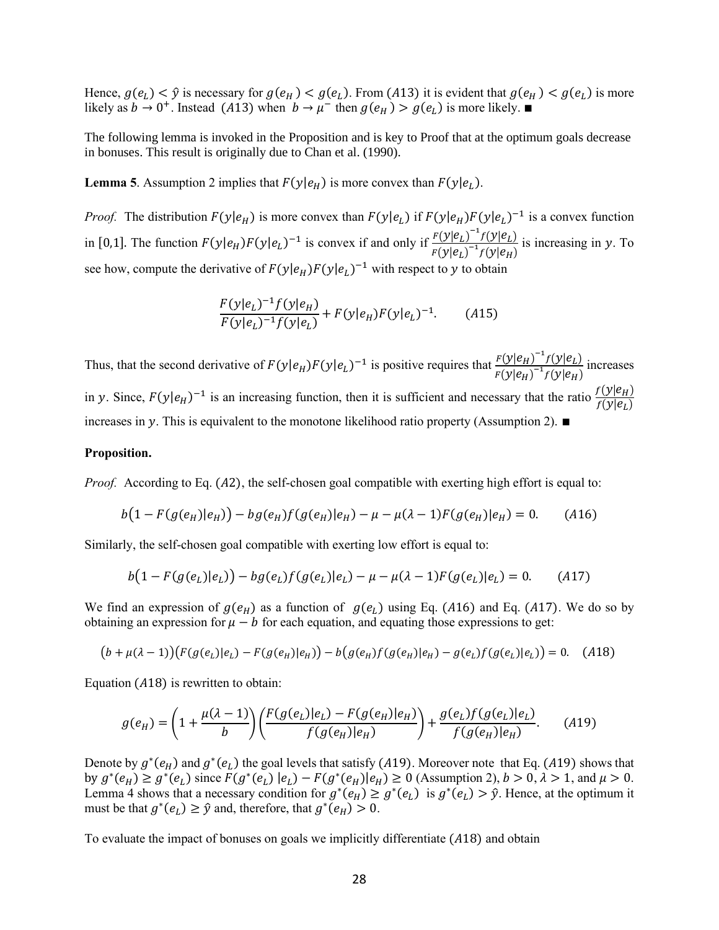Hence,  $g(e_L) < \hat{y}$  is necessary for  $g(e_H) < g(e_L)$ . From (A13) it is evident that  $g(e_H) < g(e_L)$  is more likely as  $b \to 0^+$ . Instead (A13) when  $b \to \mu^-$  then  $g(e_H) > g(e_L)$  is more likely.

The following lemma is invoked in the Proposition and is key to Proof that at the optimum goals decrease in bonuses. This result is originally due to Chan et al. (1990).

**Lemma 5**. Assumption 2 implies that  $F(y|e_H)$  is more convex than  $F(y|e_L)$ .

*Proof.* The distribution  $F(y|e_H)$  is more convex than  $F(y|e_L)$  if  $F(y|e_H)F(y|e_L)^{-1}$  is a convex function in [0,1]. The function  $F(y|e_H)F(y|e_L)^{-1}$  is convex if and only if  $\frac{F(y|e_L)^{-1}f(y|e_L)}{F(y|e_L)^{-1}f(y|e_L)}$  $\frac{F(y|e_L) - f(y|e_L)}{F(y|e_L)^{-1} f(y|e_H)}$  is increasing in y. To see how, compute the derivative of  $F(y|e_H)F(y|e_L)^{-1}$  with respect to y to obtain

$$
\frac{F(y|e_L)^{-1}f(y|e_H)}{F(y|e_L)^{-1}f(y|e_L)} + F(y|e_H)F(y|e_L)^{-1}.
$$
 (A15)

Thus, that the second derivative of  $F(y|e_H)F(y|e_L)^{-1}$  is positive requires that  $\frac{F(y|e_H)^{-1}f(y|e_L)}{F(y|e_L)^{-1}f(y|e_L)}$  $\frac{F(y|e_H) - f(y|e_L)}{F(y|e_H)^{-1}f(y|e_H)}$  increases in y. Since,  $F(y|e_H)^{-1}$  is an increasing function, then it is sufficient and necessary that the ratio  $\frac{f(y|e_H)}{f(y|e_L)}$ increases in y. This is equivalent to the monotone likelihood ratio property (Assumption 2). ■

#### **Proposition.**

*Proof.* According to Eq. (A2), the self-chosen goal compatible with exerting high effort is equal to:

$$
b(1 - F(g(e_H)|e_H)) - bg(e_H)f(g(e_H)|e_H) - \mu - \mu(\lambda - 1)F(g(e_H)|e_H) = 0. \tag{A16}
$$

Similarly, the self-chosen goal compatible with exerting low effort is equal to:

$$
b(1 - F(g(e_L)|e_L)) - bg(e_L)f(g(e_L)|e_L) - \mu - \mu(\lambda - 1)F(g(e_L)|e_L) = 0. \tag{A17}
$$

We find an expression of  $g(e_H)$  as a function of  $g(e_L)$  using Eq. (A16) and Eq. (A17). We do so by obtaining an expression for  $\mu - b$  for each equation, and equating those expressions to get:

$$
(b + \mu(\lambda - 1))(F(g(e_L)|e_L) - F(g(e_H)|e_H)) - b(g(e_H)f(g(e_H)|e_H) - g(e_L)f(g(e_L)|e_L)) = 0. \quad (A18)
$$

Equation  $(A18)$  is rewritten to obtain:

$$
g(e_H) = \left(1 + \frac{\mu(\lambda - 1)}{b}\right) \left(\frac{F(g(e_L)|e_L) - F(g(e_H)|e_H)}{f(g(e_H)|e_H)}\right) + \frac{g(e_L)f(g(e_L)|e_L)}{f(g(e_H)|e_H)}.
$$
 (A19)

Denote by  $g^*(e_H)$  and  $g^*(e_L)$  the goal levels that satisfy (A19). Moreover note that Eq. (A19) shows that by  $g^*(e_H) \ge g^*(e_L)$  since  $F(g^*(e_L) \mid e_L) - F(g^*(e_H) \mid e_H) \ge 0$  (Assumption 2),  $b > 0$ ,  $\lambda > 1$ , and  $\mu > 0$ . Lemma 4 shows that a necessary condition for  $g^*(e_H) \ge g^*(e_L)$  is  $g^*(e_L) > \hat{y}$ . Hence, at the optimum it must be that  $g^*(e_L) \ge \hat{y}$  and, therefore, that  $g^*(e_H) > 0$ .

To evaluate the impact of bonuses on goals we implicitly differentiate  $(A18)$  and obtain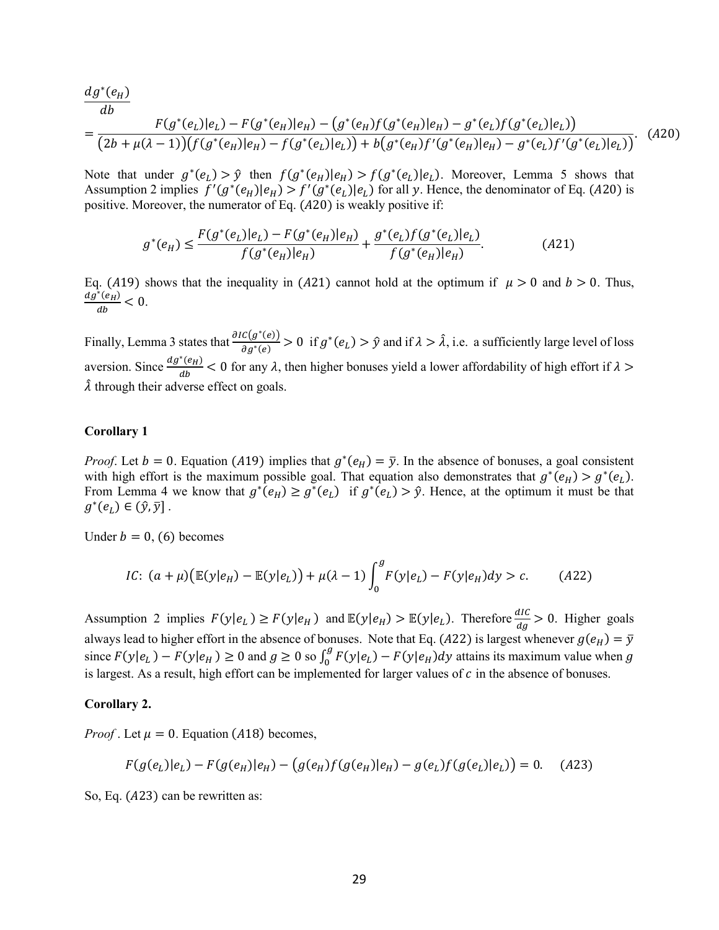$$
\frac{dg^*(e_H)}{db} = \frac{F(g^*(e_L)|e_L) - F(g^*(e_H)|e_H) - (g^*(e_H)f(g^*(e_H)|e_H) - g^*(e_L)f(g^*(e_L)|e_L))}{(2b + \mu(\lambda - 1))(f(g^*(e_H)|e_H) - f(g^*(e_L)|e_L)) + b(g^*(e_H)f'(g^*(e_H)|e_H) - g^*(e_L)f'(g^*(e_L)|e_L))}.
$$
(A20)

Note that under  $g^*(e_l) > \hat{y}$  then  $f(g^*(e_l)|e_l) > f(g^*(e_l)|e_l)$ . Moreover, Lemma 5 shows that Assumption 2 implies  $f'(g^*(e_H)|e_H) > f'(g^*(e_L)|e_L)$  for all y. Hence, the denominator of Eq. (A20) is positive. Moreover, the numerator of Eq.  $(A20)$  is weakly positive if:

$$
g^*(e_H) \le \frac{F(g^*(e_L)|e_L) - F(g^*(e_H)|e_H)}{f(g^*(e_H)|e_H)} + \frac{g^*(e_L)f(g^*(e_L)|e_L)}{f(g^*(e_H)|e_H)}.
$$
(A21)

Eq. (A19) shows that the inequality in (A21) cannot hold at the optimum if  $\mu > 0$  and  $b > 0$ . Thus,  $dg^*(e_H)$  $\frac{(e_H)}{ab} < 0.$ 

Finally, Lemma 3 states that  $\frac{\partial IC(g^*(e))}{\partial x^*(e)}$  $\frac{C(g^*(e))}{\partial g^*(e)} > 0$  if  $g^*(e_L) > \hat{y}$  and if  $\lambda > \hat{\lambda}$ , i.e. a sufficiently large level of loss aversion. Since  $\frac{dg^*(e_H)}{dt}$  $\frac{(\epsilon_H)}{d b}$  < 0 for any  $\lambda$ , then higher bonuses yield a lower affordability of high effort if  $\lambda >$  $\lambda$  through their adverse effect on goals.

#### **Corollary 1**

*Proof.* Let  $b = 0$ . Equation (A19) implies that  $g^*(e_H) = \overline{y}$ . In the absence of bonuses, a goal consistent with high effort is the maximum possible goal. That equation also demonstrates that  $g^*(e_H) > g^*(e_L)$ . From Lemma 4 we know that  $g^*(e_H) \ge g^*(e_L)$  if  $g^*(e_L) > \hat{y}$ . Hence, at the optimum it must be that  $g^*(e_L) \in (\hat{y}, \bar{y}]$ .

Under  $b = 0$ , (6) becomes

*IC*: 
$$
(a + \mu)(\mathbb{E}(y|e_H) - \mathbb{E}(y|e_L)) + \mu(\lambda - 1)\int_0^g F(y|e_L) - F(y|e_H)dy > c.
$$
 (A22)

Assumption 2 implies  $F(y|e_L) \ge F(y|e_H)$  and  $\mathbb{E}(y|e_H) > \mathbb{E}(y|e_L)$ . Therefore  $\frac{dC}{dg} > 0$ . Higher goals always lead to higher effort in the absence of bonuses. Note that Eq. (A22) is largest whenever  $g(e_H) = \overline{y}$ since  $F(y|e_L) - F(y|e_H) \ge 0$  and  $g \ge 0$  so  $\int_0^g F(y|e_L) - F(y|e_H) dy$  attains its maximum value when g is largest. As a result, high effort can be implemented for larger values of  $c$  in the absence of bonuses.

#### **Corollary 2.**

*Proof*. Let  $\mu = 0$ . Equation (A18) becomes,

$$
F(g(e_L)|e_L) - F(g(e_H)|e_H) - (g(e_H)f(g(e_H)|e_H) - g(e_L)f(g(e_L)|e_L)) = 0. \quad (A23)
$$

So, Eq.  $(A23)$  can be rewritten as: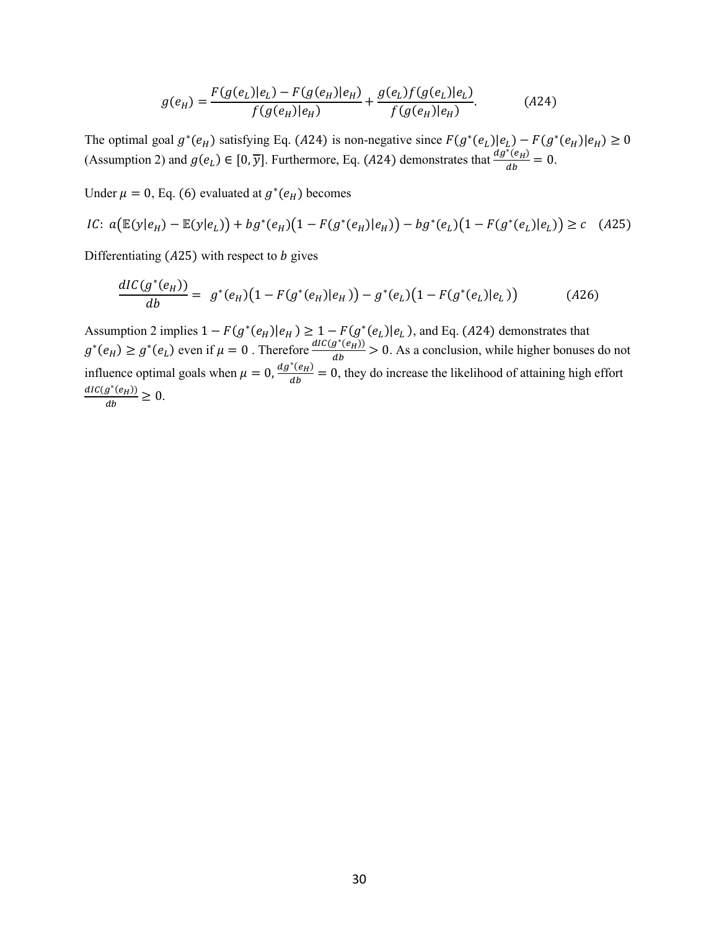$$
g(e_H) = \frac{F(g(e_L)|e_L) - F(g(e_H)|e_H)}{f(g(e_H)|e_H)} + \frac{g(e_L)f(g(e_L)|e_L)}{f(g(e_H)|e_H)}.
$$
 (A24)

The optimal goal  $g^*(e_H)$  satisfying Eq. (A24) is non-negative since  $F(g^*(e_L)|e_L) - F(g^*(e_H)|e_H) \ge 0$ (Assumption 2) and  $g(e_L) \in [0, \overline{y}]$ . Furthermore, Eq. (A24) demonstrates that  $\frac{dg^*(e_H)}{dh}$  $\frac{\left(e_H\right)}{ab} = 0.$ 

Under  $\mu = 0$ , Eq. (6) evaluated at  $g^*(e_H)$  becomes

*IC*: 
$$
a(\mathbb{E}(y|e_H) - \mathbb{E}(y|e_L)) + bg^*(e_H)(1 - F(g^*(e_H)|e_H)) - bg^*(e_L)(1 - F(g^*(e_L)|e_L)) \ge c
$$
 (A25)

Differentiating  $(A25)$  with respect to *b* gives

$$
\frac{dIC(g^*(e_H))}{db} = g^*(e_H)(1 - F(g^*(e_H)|e_H)) - g^*(e_L)(1 - F(g^*(e_L)|e_L))
$$
\n(A26)

Assumption 2 implies  $1 - F(g^*(e_H)|e_H) \ge 1 - F(g^*(e_L)|e_L)$ , and Eq. (A24) demonstrates that  $g^*(e_H) \ge g^*(e_L)$  even if  $\mu = 0$ . Therefore  $\frac{dIC(g^*(e_H))}{dh}$  $\frac{g(e_H)}{ab}$  > 0. As a conclusion, while higher bonuses do not influence optimal goals when  $\mu = 0$ ,  $\frac{dg^*(e_H)}{dh}$  $\frac{(\epsilon_H)}{db}$  = 0, they do increase the likelihood of attaining high effort  $dIC(g^*(e_H))$  $\frac{g(eH)}{db} \geq 0.$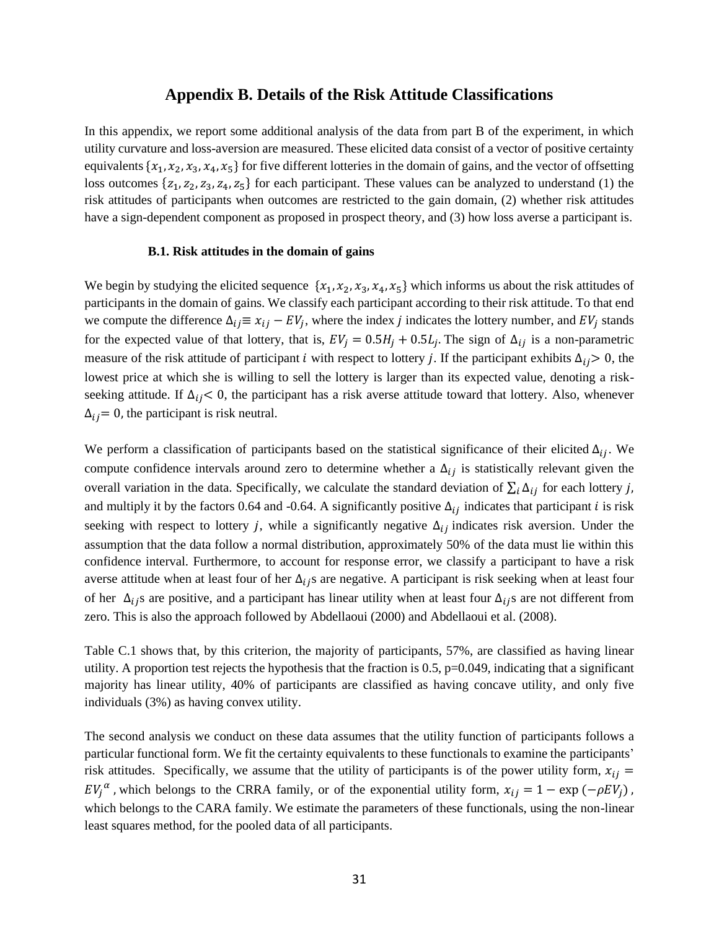# **Appendix B. Details of the Risk Attitude Classifications**

In this appendix, we report some additional analysis of the data from part B of the experiment, in which utility curvature and loss-aversion are measured. These elicited data consist of a vector of positive certainty equivalents  $\{x_1, x_2, x_3, x_4, x_5\}$  for five different lotteries in the domain of gains, and the vector of offsetting loss outcomes  $\{z_1, z_2, z_3, z_4, z_5\}$  for each participant. These values can be analyzed to understand (1) the risk attitudes of participants when outcomes are restricted to the gain domain, (2) whether risk attitudes have a sign-dependent component as proposed in prospect theory, and (3) how loss averse a participant is.

#### **B.1. Risk attitudes in the domain of gains**

We begin by studying the elicited sequence  $\{x_1, x_2, x_3, x_4, x_5\}$  which informs us about the risk attitudes of participants in the domain of gains. We classify each participant according to their risk attitude. To that end we compute the difference  $\Delta_{ij} \equiv x_{ij} - EV_j$ , where the index *j* indicates the lottery number, and EV<sub>j</sub> stands for the expected value of that lottery, that is,  $EV_j = 0.5H_j + 0.5L_j$ . The sign of  $\Delta_{ij}$  is a non-parametric measure of the risk attitude of participant *i* with respect to lottery *j*. If the participant exhibits  $\Delta_{ij} > 0$ , the lowest price at which she is willing to sell the lottery is larger than its expected value, denoting a riskseeking attitude. If  $\Delta_{ij}$  < 0, the participant has a risk averse attitude toward that lottery. Also, whenever  $\Delta_{ij}$  = 0, the participant is risk neutral.

We perform a classification of participants based on the statistical significance of their elicited  $\Delta_{ij}$ . We compute confidence intervals around zero to determine whether a  $\Delta_{ij}$  is statistically relevant given the overall variation in the data. Specifically, we calculate the standard deviation of  $\sum_i \Delta_{ij}$  for each lottery j, and multiply it by the factors 0.64 and -0.64. A significantly positive  $\Delta_{ij}$  indicates that participant *i* is risk seeking with respect to lottery *j*, while a significantly negative  $\Delta_{ij}$  indicates risk aversion. Under the assumption that the data follow a normal distribution, approximately 50% of the data must lie within this confidence interval. Furthermore, to account for response error, we classify a participant to have a risk averse attitude when at least four of her  $\Delta_{ij}$ s are negative. A participant is risk seeking when at least four of her  $\Delta_{ij}$ s are positive, and a participant has linear utility when at least four  $\Delta_{ij}$ s are not different from zero. This is also the approach followed by Abdellaoui (2000) and Abdellaoui et al. (2008).

Table C.1 shows that, by this criterion, the majority of participants, 57%, are classified as having linear utility. A proportion test rejects the hypothesis that the fraction is  $0.5$ ,  $p=0.049$ , indicating that a significant majority has linear utility, 40% of participants are classified as having concave utility, and only five individuals (3%) as having convex utility.

The second analysis we conduct on these data assumes that the utility function of participants follows a particular functional form. We fit the certainty equivalents to these functionals to examine the participants' risk attitudes. Specifically, we assume that the utility of participants is of the power utility form,  $x_{ij}$  =  $EV_j^{\alpha}$ , which belongs to the CRRA family, or of the exponential utility form,  $x_{ij} = 1 - \exp(-\rho EV_j)$ , which belongs to the CARA family. We estimate the parameters of these functionals, using the non-linear least squares method, for the pooled data of all participants.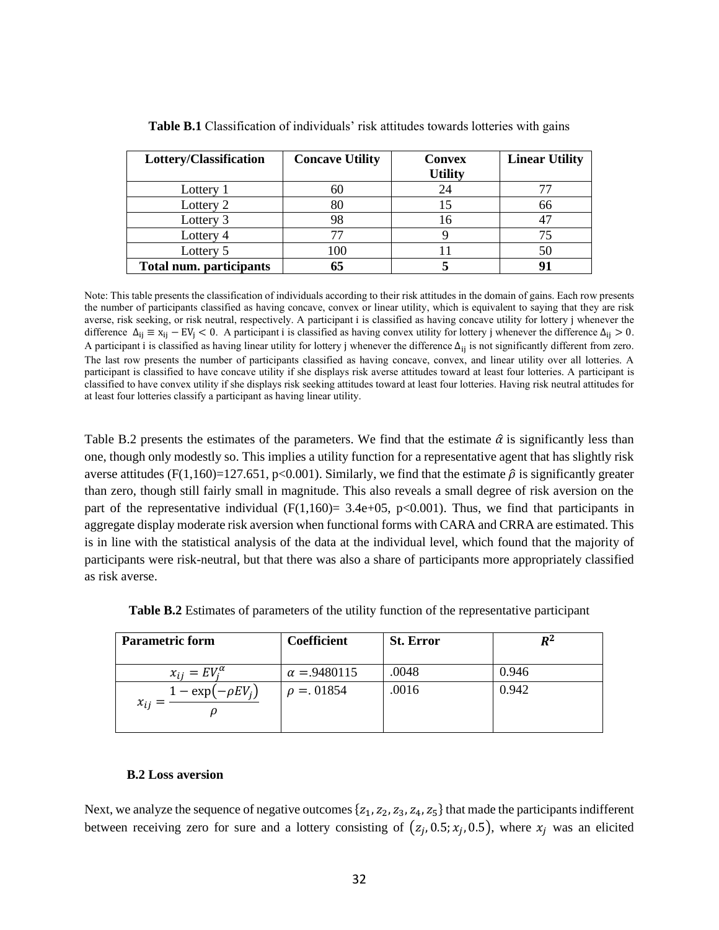| Lottery/Classification         | <b>Concave Utility</b> | <b>Convex</b><br><b>Utility</b> | <b>Linear Utility</b> |
|--------------------------------|------------------------|---------------------------------|-----------------------|
| Lottery 1                      |                        | 24                              |                       |
| Lottery 2                      |                        |                                 | 66                    |
| Lottery 3                      | 98                     | 16                              |                       |
| Lottery 4                      |                        |                                 |                       |
| Lottery 5                      | 100                    |                                 | 50                    |
| <b>Total num. participants</b> | 65                     |                                 |                       |

**Table B.1** Classification of individuals' risk attitudes towards lotteries with gains

Note: This table presents the classification of individuals according to their risk attitudes in the domain of gains. Each row presents the number of participants classified as having concave, convex or linear utility, which is equivalent to saying that they are risk averse, risk seeking, or risk neutral, respectively. A participant i is classified as having concave utility for lottery j whenever the difference  $\Delta_{ij} \equiv x_{ij} - EV_i < 0$ . A participant i is classified as having convex utility for lottery j whenever the difference  $\Delta_{ij} > 0$ . A participant i is classified as having linear utility for lottery j whenever the difference  $\Delta_{ii}$  is not significantly different from zero. The last row presents the number of participants classified as having concave, convex, and linear utility over all lotteries. A participant is classified to have concave utility if she displays risk averse attitudes toward at least four lotteries. A participant is classified to have convex utility if she displays risk seeking attitudes toward at least four lotteries. Having risk neutral attitudes for at least four lotteries classify a participant as having linear utility.

Table B.2 presents the estimates of the parameters. We find that the estimate  $\hat{\alpha}$  is significantly less than one, though only modestly so. This implies a utility function for a representative agent that has slightly risk averse attitudes (F(1,160)=127.651, p<0.001). Similarly, we find that the estimate  $\hat{\rho}$  is significantly greater than zero, though still fairly small in magnitude. This also reveals a small degree of risk aversion on the part of the representative individual  $(F(1,160) = 3.4e+0.5, p<0.001)$ . Thus, we find that participants in aggregate display moderate risk aversion when functional forms with CARA and CRRA are estimated. This is in line with the statistical analysis of the data at the individual level, which found that the majority of participants were risk-neutral, but that there was also a share of participants more appropriately classified as risk averse.

| <b>Parametric form</b>              | Coefficient        | <b>St. Error</b> | $R^2$ |
|-------------------------------------|--------------------|------------------|-------|
| $x_{ij} = EV_i^{\alpha}$            | $\alpha = 9480115$ | .0048            | 0.946 |
| $1 - \exp(-\rho E V_i)$<br>$x_{ij}$ | $\rho = 0.01854$   | .0016            | 0.942 |

**Table B.2** Estimates of parameters of the utility function of the representative participant

# **B.2 Loss aversion**

Next, we analyze the sequence of negative outcomes  $\{z_1, z_2, z_3, z_4, z_5\}$  that made the participants indifferent between receiving zero for sure and a lottery consisting of  $(z_j, 0.5; x_j, 0.5)$ , where  $x_j$  was an elicited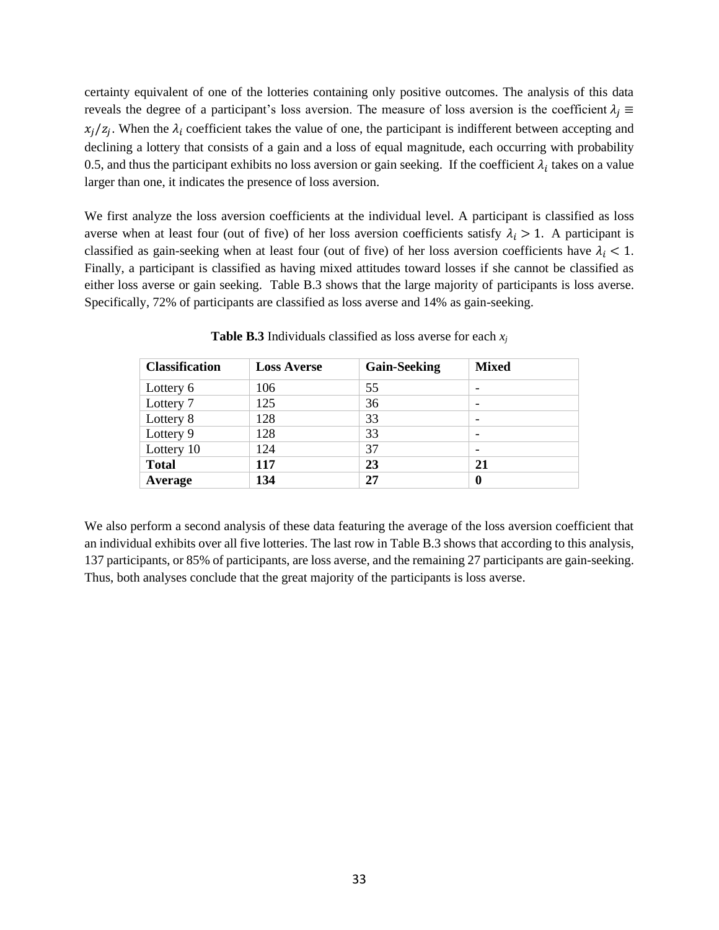certainty equivalent of one of the lotteries containing only positive outcomes. The analysis of this data reveals the degree of a participant's loss aversion. The measure of loss aversion is the coefficient  $\lambda_i \equiv$  $x_j/z_j$ . When the  $\lambda_i$  coefficient takes the value of one, the participant is indifferent between accepting and declining a lottery that consists of a gain and a loss of equal magnitude, each occurring with probability 0.5, and thus the participant exhibits no loss aversion or gain seeking. If the coefficient  $\lambda_i$  takes on a value larger than one, it indicates the presence of loss aversion.

We first analyze the loss aversion coefficients at the individual level. A participant is classified as loss averse when at least four (out of five) of her loss aversion coefficients satisfy  $\lambda_i > 1$ . A participant is classified as gain-seeking when at least four (out of five) of her loss aversion coefficients have  $\lambda_i$  < 1. Finally, a participant is classified as having mixed attitudes toward losses if she cannot be classified as either loss averse or gain seeking. Table B.3 shows that the large majority of participants is loss averse. Specifically, 72% of participants are classified as loss averse and 14% as gain-seeking.

| <b>Classification</b> | <b>Loss Averse</b> | <b>Gain-Seeking</b> | <b>Mixed</b>             |
|-----------------------|--------------------|---------------------|--------------------------|
| Lottery 6             | 106                | 55                  |                          |
| Lottery 7             | 125                | 36                  | $\overline{\phantom{a}}$ |
| Lottery 8             | 128                | 33                  | $\overline{\phantom{a}}$ |
| Lottery 9             | 128                | 33                  |                          |
| Lottery 10            | 124                | 37                  | $\overline{\phantom{a}}$ |
| <b>Total</b>          | 117                | 23                  | 21                       |
| Average               | 134                | 27                  | 0                        |

**Table B.3** Individuals classified as loss averse for each *x<sup>j</sup>*

We also perform a second analysis of these data featuring the average of the loss aversion coefficient that an individual exhibits over all five lotteries. The last row in Table B.3 shows that according to this analysis, 137 participants, or 85% of participants, are loss averse, and the remaining 27 participants are gain-seeking. Thus, both analyses conclude that the great majority of the participants is loss averse.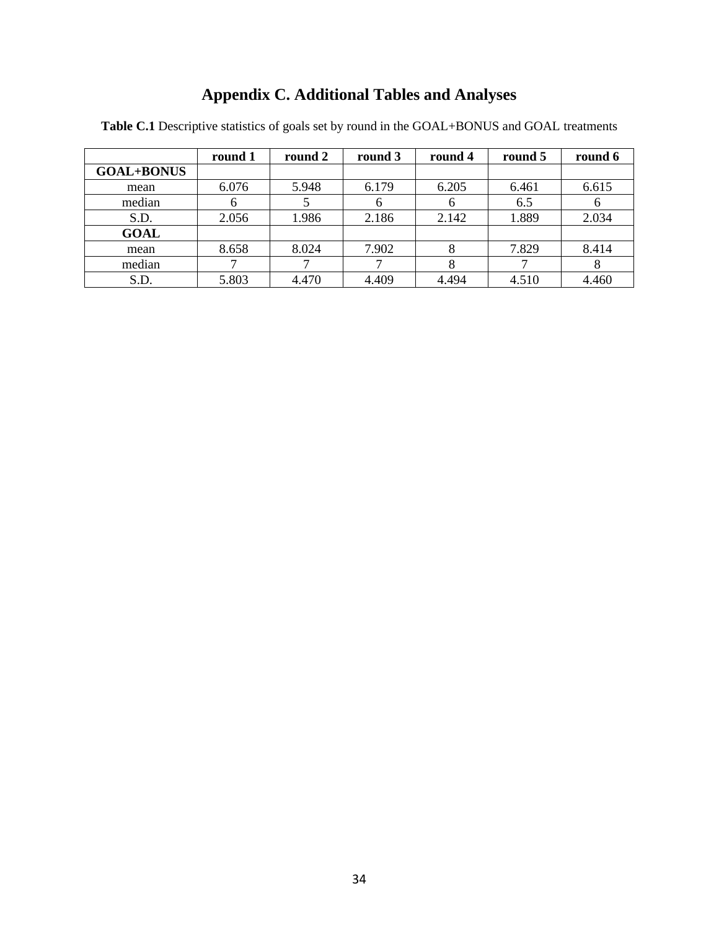# **Appendix C. Additional Tables and Analyses**

|                   | round 1 | round 2 | round 3 | round 4 | round 5 | round 6      |
|-------------------|---------|---------|---------|---------|---------|--------------|
| <b>GOAL+BONUS</b> |         |         |         |         |         |              |
| mean              | 6.076   | 5.948   | 6.179   | 6.205   | 6.461   | 6.615        |
| median            | h       |         | n       | n       | 6.5     | <sub>0</sub> |
| S.D.              | 2.056   | 1.986   | 2.186   | 2.142   | 1.889   | 2.034        |
| <b>GOAL</b>       |         |         |         |         |         |              |
| mean              | 8.658   | 8.024   | 7.902   | 8       | 7.829   | 8.414        |
| median            |         |         |         | 8       |         | 8            |
| S.D.              | 5.803   | 4.470   | 4.409   | 4.494   | 4.510   | 4.460        |

**Table C.1** Descriptive statistics of goals set by round in the GOAL+BONUS and GOAL treatments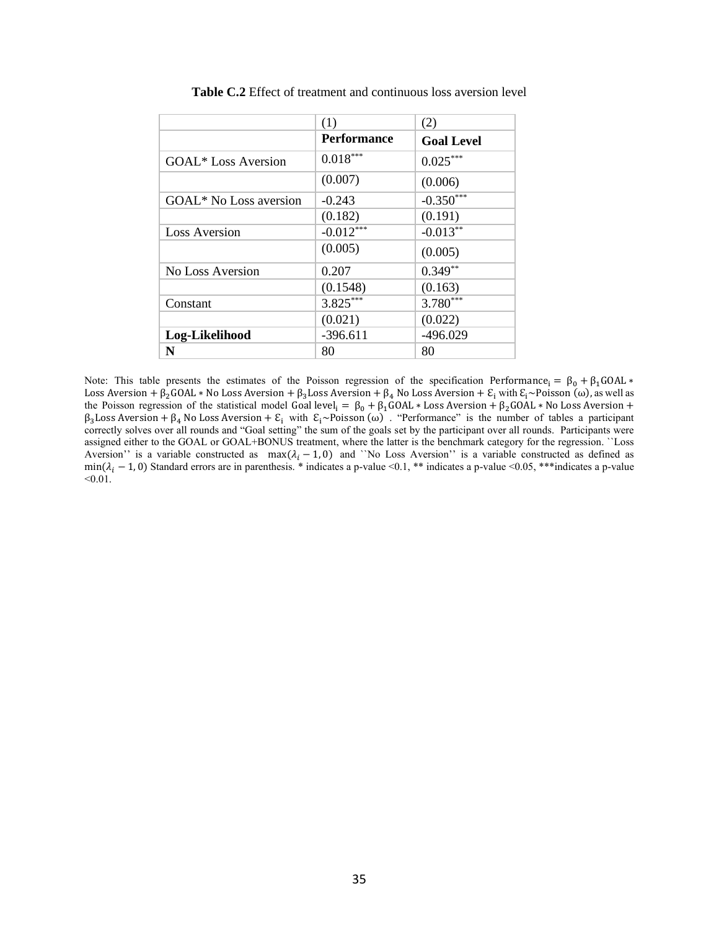|                        | (1)                | (2)               |
|------------------------|--------------------|-------------------|
|                        | <b>Performance</b> | <b>Goal Level</b> |
| GOAL* Loss Aversion    | $0.018***$         | $0.025***$        |
|                        | (0.007)            | (0.006)           |
| GOAL* No Loss aversion | $-0.243$           | $-0.350***$       |
|                        | (0.182)            | (0.191)           |
| <b>Loss Aversion</b>   | $-0.012***$        | $-0.013**$        |
|                        | (0.005)            | (0.005)           |
| No Loss Aversion       | 0.207              | $0.349**$         |
|                        | (0.1548)           | (0.163)           |
| Constant               | $3.825***$         | $3.780***$        |
|                        | (0.021)            | (0.022)           |
| Log-Likelihood         | $-396.611$         | $-496.029$        |
| N                      | 80                 | 80                |

**Table C.2** Effect of treatment and continuous loss aversion level

Note: This table presents the estimates of the Poisson regression of the specification Performance<sub>i</sub> =  $\beta_0 + \beta_1 \text{GOAL} *$ Loss Aversion + β<sub>2</sub>GOAL \* No Loss Aversion + β<sub>3</sub>Loss Aversion + β<sub>4</sub> No Loss Aversion +  $E_i$  with  $E_i \sim$ Poisson (ω), as well as the Poisson regression of the statistical model Goal level<sub>i</sub> =  $\beta_0 + \beta_1$ GOAL \* Loss Aversion +  $\beta_2$ GOAL \* No Loss Aversion +  $\beta_3$ Loss Aversion +  $\beta_4$  No Loss Aversion +  $\epsilon_i$  with  $\epsilon_i$ ~Poisson (ω). "Performance" is the number of tables a participant correctly solves over all rounds and "Goal setting" the sum of the goals set by the participant over all rounds. Participants were assigned either to the GOAL or GOAL+BONUS treatment, where the latter is the benchmark category for the regression. ``Loss Aversion'' is a variable constructed as  $\max(\lambda_i - 1, 0)$  and '`No Loss Aversion'' is a variable constructed as defined as min( $\lambda_i$  – 1, 0) Standard errors are in parenthesis. \* indicates a p-value <0.1, \*\* indicates a p-value <0.05, \*\*\* indicates a p-value  $< 0.01$ .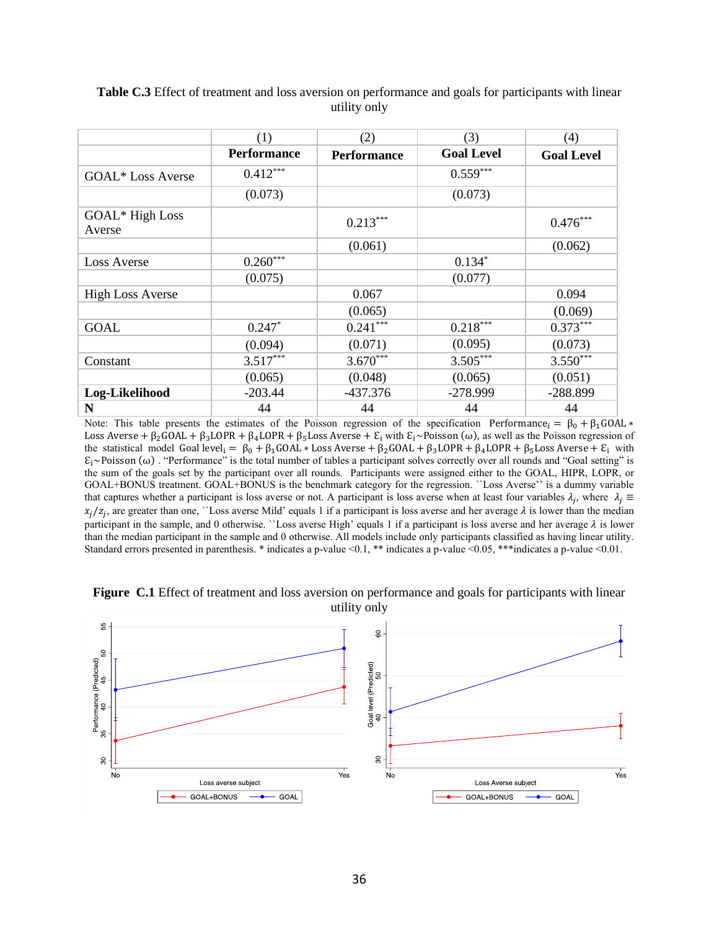|                           | (1)                | (2)                | (3)               | (4)               |
|---------------------------|--------------------|--------------------|-------------------|-------------------|
|                           | <b>Performance</b> | <b>Performance</b> | <b>Goal Level</b> | <b>Goal Level</b> |
| <b>GOAL*</b> Loss Averse  | $0.412***$         |                    | $0.559***$        |                   |
|                           | (0.073)            |                    | (0.073)           |                   |
| GOAL* High Loss<br>Averse |                    | $0.213***$         |                   | $0.476***$        |
|                           |                    | (0.061)            |                   | (0.062)           |
| <b>Loss Averse</b>        | $0.260***$         |                    | $0.134*$          |                   |
|                           | (0.075)            |                    | (0.077)           |                   |
| <b>High Loss Averse</b>   |                    | 0.067              |                   | 0.094             |
|                           |                    | (0.065)            |                   | (0.069)           |
| <b>GOAL</b>               | $0.247*$           | $0.241***$         | $0.218***$        | $0.373***$        |
|                           | (0.094)            | (0.071)            | (0.095)           | (0.073)           |
| Constant                  | $3.517***$         | $3.670***$         | $3.505***$        | $3.550***$        |
|                           | (0.065)            | (0.048)            | (0.065)           | (0.051)           |
| Log-Likelihood            | $-203.44$          | $-437.376$         | $-278.999$        | $-288.899$        |
| N                         | 44                 | 44                 | 44                | 44                |

## **Table C.3** Effect of treatment and loss aversion on performance and goals for participants with linear utility only

Note: This table presents the estimates of the Poisson regression of the specification Performance  $= \beta_0 + \beta_1 \text{GOAL} *$ Loss Averse +  $\beta_2$ GOAL +  $\beta_3$ LOPR +  $\beta_4$ LOPR +  $\beta_5$ Loss Averse +  $\mathcal{E}_i$  with  $\mathcal{E}_i \sim$ Poisson ( $\omega$ ), as well as the Poisson regression of the statistical model Goal level<sub>i</sub> =  $\beta_0$  +  $\beta_1$ GOAL \* Loss Averse +  $\beta_2$ GOAL +  $\beta_3$ LOPR +  $\beta_4$ LOPR +  $\beta_5$ Loss Averse +  $\epsilon$ <sub>i</sub> with  $\epsilon_i$ ~Poisson (ω) . "Performance" is the total number of tables a participant solves correctly over all rounds and "Goal setting" is the sum of the goals set by the participant over all rounds. Participants were assigned either to the GOAL, HIPR, LOPR, or GOAL+BONUS treatment. GOAL+BONUS is the benchmark category for the regression. ``Loss Averse'' is a dummy variable that captures whether a participant is loss averse or not. A participant is loss averse when at least four variables  $\lambda_j$ , where  $\lambda_j \equiv$  $x_j/z_j$ , are greater than one, ``Loss averse Mild' equals 1 if a participant is loss averse and her average  $\lambda$  is lower than the median participant in the sample, and 0 otherwise. ``Loss averse High' equals 1 if a participant is loss averse and her average  $\lambda$  is lower than the median participant in the sample and 0 otherwise. All models include only participants classified as having linear utility. Standard errors presented in parenthesis. \* indicates a p-value <0.1, \*\* indicates a p-value <0.05, \*\*\*indicates a p-value <0.01.



**Figure C.1** Effect of treatment and loss aversion on performance and goals for participants with linear utility only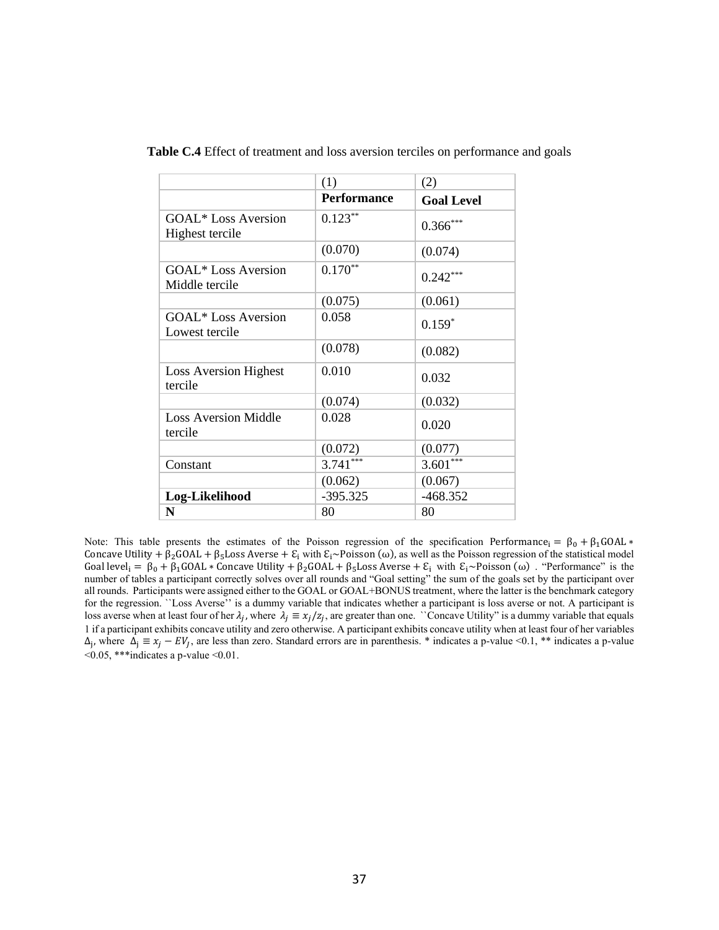|                                               | (1)                | (2)               |
|-----------------------------------------------|--------------------|-------------------|
|                                               | <b>Performance</b> | <b>Goal Level</b> |
| <b>GOAL*</b> Loss Aversion<br>Highest tercile | $0.123**$          | $0.366***$        |
|                                               | (0.070)            | (0.074)           |
| <b>GOAL*</b> Loss Aversion<br>Middle tercile  | $0.170**$          | $0.242***$        |
|                                               | (0.075)            | (0.061)           |
| <b>GOAL*</b> Loss Aversion<br>Lowest tercile  | 0.058              | $0.159*$          |
|                                               | (0.078)            | (0.082)           |
| <b>Loss Aversion Highest</b><br>tercile       | 0.010              | 0.032             |
|                                               | (0.074)            | (0.032)           |
| <b>Loss Aversion Middle</b><br>tercile        | 0.028              | 0.020             |
|                                               | (0.072)            | (0.077)           |
| Constant                                      | $3.741***$         | $3.601***$        |
|                                               | (0.062)            | (0.067)           |
| Log-Likelihood                                | $-395.325$         | $-468.352$        |
| N                                             | 80                 | 80                |

**Table C.4** Effect of treatment and loss aversion terciles on performance and goals

Note: This table presents the estimates of the Poisson regression of the specification Performance<sub>i</sub> =  $\beta_0 + \beta_1 \text{GOAL} *$ Concave Utility +  $\beta_2$ GOAL +  $\beta_5$ Loss Averse +  $\epsilon_i$  with  $\epsilon_i \sim$ Poisson (ω), as well as the Poisson regression of the statistical model Goal level<sub>i</sub> =  $\beta_0 + \beta_1 GOL *$  Concave Utility +  $\beta_2 GOL + \beta_5 Loss$  Averse +  $\mathcal{E}_i$  with  $\mathcal{E}_i \sim \text{Poisson}(\omega)$ . "Performance" is the number of tables a participant correctly solves over all rounds and "Goal setting" the sum of the goals set by the participant over all rounds. Participants were assigned either to the GOAL or GOAL+BONUS treatment, where the latter is the benchmark category for the regression. ``Loss Averse'' is a dummy variable that indicates whether a participant is loss averse or not. A participant is loss averse when at least four of her  $\lambda_j$ , where  $\lambda_j \equiv x_j/z_j$ , are greater than one. ``Concave Utility'' is a dummy variable that equals 1 if a participant exhibits concave utility and zero otherwise. A participant exhibits concave utility when at least four of her variables  $\Delta_j$ , where  $\Delta_j \equiv x_j - EV_j$ , are less than zero. Standard errors are in parenthesis. \* indicates a p-value <0.1, \*\* indicates a p-value  $\leq 0.05$ , \*\*\*indicates a p-value  $\leq 0.01$ .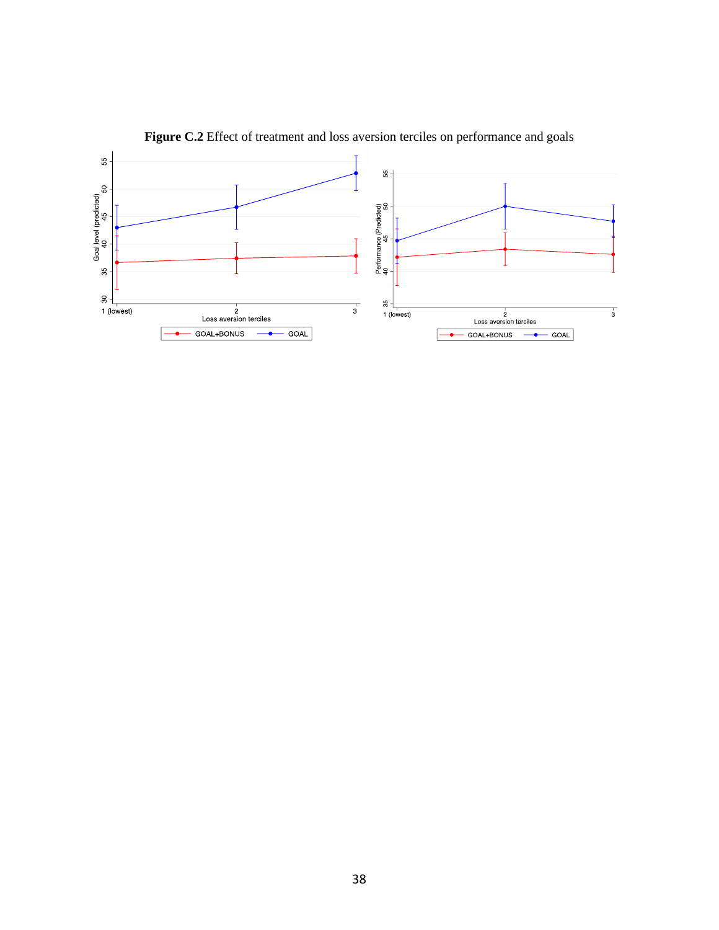

Figure C.2 Effect of treatment and loss aversion terciles on performance and goals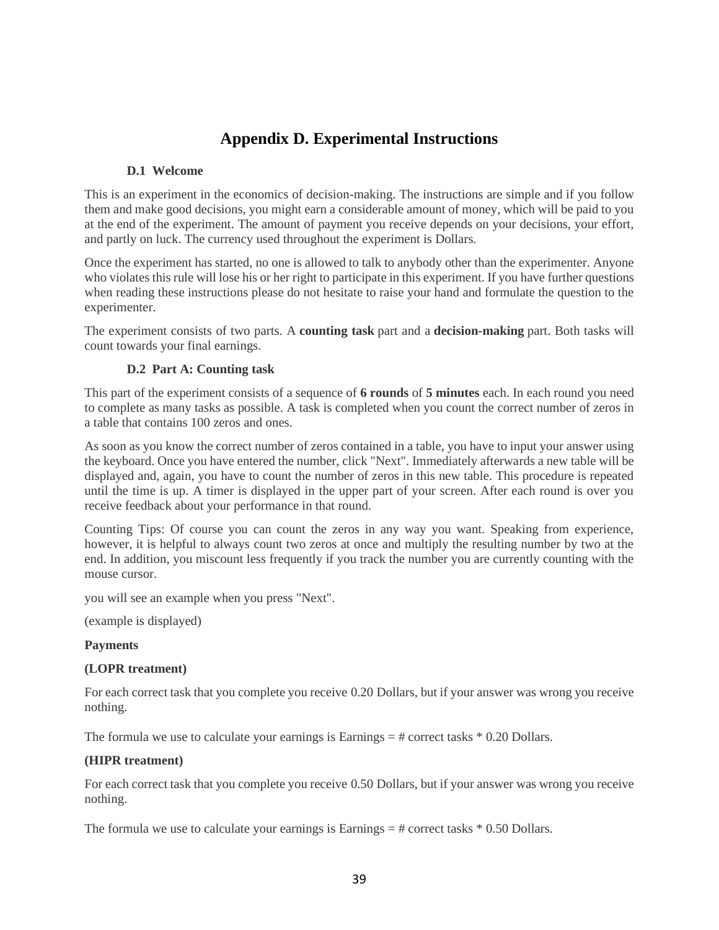# **Appendix D. Experimental Instructions**

# **D.1 Welcome**

This is an experiment in the economics of decision-making. The instructions are simple and if you follow them and make good decisions, you might earn a considerable amount of money, which will be paid to you at the end of the experiment. The amount of payment you receive depends on your decisions, your effort, and partly on luck. The currency used throughout the experiment is Dollars.

Once the experiment has started, no one is allowed to talk to anybody other than the experimenter. Anyone who violates this rule will lose his or her right to participate in this experiment. If you have further questions when reading these instructions please do not hesitate to raise your hand and formulate the question to the experimenter.

The experiment consists of two parts. A **counting task** part and a **decision-making** part. Both tasks will count towards your final earnings.

# **D.2 Part A: Counting task**

This part of the experiment consists of a sequence of **6 rounds** of **5 minutes** each. In each round you need to complete as many tasks as possible. A task is completed when you count the correct number of zeros in a table that contains 100 zeros and ones.

As soon as you know the correct number of zeros contained in a table, you have to input your answer using the keyboard. Once you have entered the number, click "Next". Immediately afterwards a new table will be displayed and, again, you have to count the number of zeros in this new table. This procedure is repeated until the time is up. A timer is displayed in the upper part of your screen. After each round is over you receive feedback about your performance in that round.

Counting Tips: Of course you can count the zeros in any way you want. Speaking from experience, however, it is helpful to always count two zeros at once and multiply the resulting number by two at the end. In addition, you miscount less frequently if you track the number you are currently counting with the mouse cursor.

you will see an example when you press "Next".

(example is displayed)

# **Payments**

# **(LOPR treatment)**

For each correct task that you complete you receive 0.20 Dollars, but if your answer was wrong you receive nothing.

The formula we use to calculate your earnings is Earnings  $=$  # correct tasks  $*$  0.20 Dollars.

# **(HIPR treatment)**

For each correct task that you complete you receive 0.50 Dollars, but if your answer was wrong you receive nothing.

The formula we use to calculate your earnings is Earnings  $=$  # correct tasks  $*$  0.50 Dollars.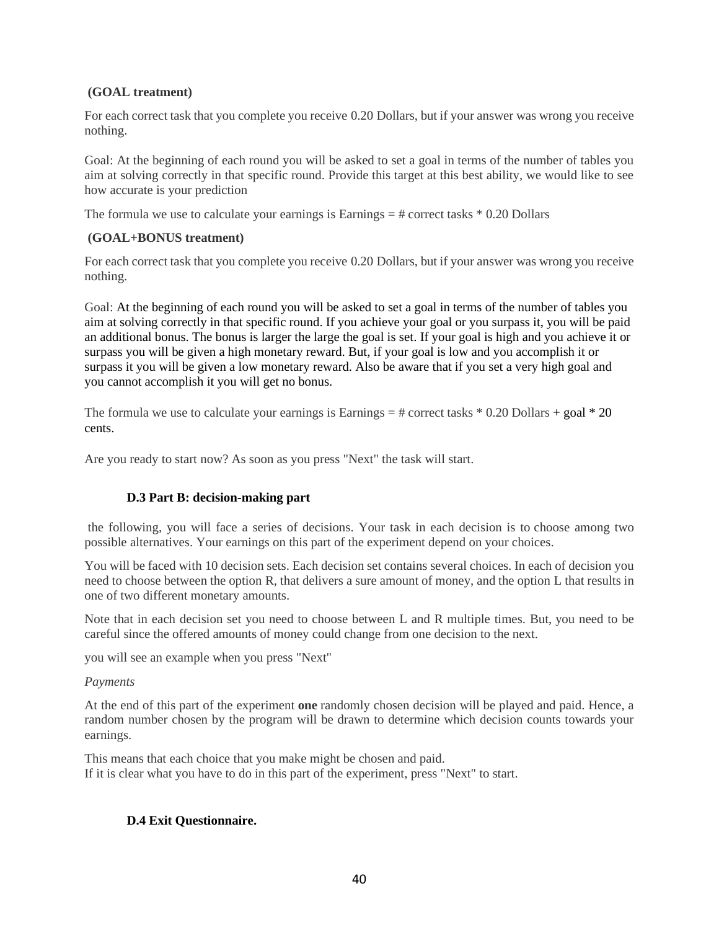# **(GOAL treatment)**

For each correct task that you complete you receive 0.20 Dollars, but if your answer was wrong you receive nothing.

Goal: At the beginning of each round you will be asked to set a goal in terms of the number of tables you aim at solving correctly in that specific round. Provide this target at this best ability, we would like to see how accurate is your prediction

The formula we use to calculate your earnings is Earnings  $=$  # correct tasks  $*$  0.20 Dollars

# **(GOAL+BONUS treatment)**

For each correct task that you complete you receive 0.20 Dollars, but if your answer was wrong you receive nothing.

Goal: At the beginning of each round you will be asked to set a goal in terms of the number of tables you aim at solving correctly in that specific round. If you achieve your goal or you surpass it, you will be paid an additional bonus. The bonus is larger the large the goal is set. If your goal is high and you achieve it or surpass you will be given a high monetary reward. But, if your goal is low and you accomplish it or surpass it you will be given a low monetary reward. Also be aware that if you set a very high goal and you cannot accomplish it you will get no bonus.

The formula we use to calculate your earnings is Earnings  $=$  # correct tasks  $*$  0.20 Dollars + goal  $*$  20 cents.

Are you ready to start now? As soon as you press "Next" the task will start.

# **D.3 Part B: decision-making part**

the following, you will face a series of decisions. Your task in each decision is to choose among two possible alternatives. Your earnings on this part of the experiment depend on your choices.

You will be faced with 10 decision sets. Each decision set contains several choices. In each of decision you need to choose between the option R, that delivers a sure amount of money, and the option L that results in one of two different monetary amounts.

Note that in each decision set you need to choose between L and R multiple times. But, you need to be careful since the offered amounts of money could change from one decision to the next.

you will see an example when you press "Next"

# *Payments*

At the end of this part of the experiment **one** randomly chosen decision will be played and paid. Hence, a random number chosen by the program will be drawn to determine which decision counts towards your earnings.

This means that each choice that you make might be chosen and paid. If it is clear what you have to do in this part of the experiment, press "Next" to start.

# **D.4 Exit Questionnaire.**